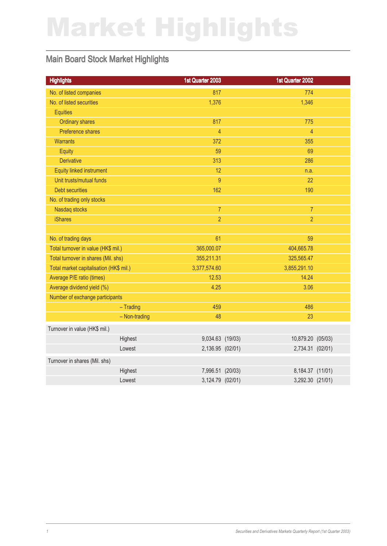# Market Highlights

### Main Board Stock Market Highlights

| <b>Highlights</b>                       | 1st Quarter 2003 | 1st Quarter 2002  |  |
|-----------------------------------------|------------------|-------------------|--|
| No. of listed companies                 | 817              | 774               |  |
| No. of listed securities                | 1,376            | 1,346             |  |
| <b>Equities</b>                         |                  |                   |  |
| <b>Ordinary shares</b>                  | 817              | 775               |  |
| Preference shares                       | $\overline{4}$   | $\overline{4}$    |  |
| <b>Warrants</b>                         | 372              | 355               |  |
| Equity                                  | 59               | 69                |  |
| <b>Derivative</b>                       | 313              | 286               |  |
| Equity linked instrument                | 12               | n.a.              |  |
| Unit trusts/mutual funds                | 9                | 22                |  |
| <b>Debt securities</b>                  | 162              | 190               |  |
| No. of trading only stocks              |                  |                   |  |
| Nasdaq stocks                           | $\overline{7}$   | $\overline{7}$    |  |
| <b>iShares</b>                          | $\overline{2}$   | $\overline{2}$    |  |
|                                         |                  |                   |  |
| No. of trading days                     | 61               | 59                |  |
| Total turnover in value (HK\$ mil.)     | 365,000.07       | 404,665.78        |  |
| Total turnover in shares (Mil. shs)     | 355,211.31       | 325,565.47        |  |
| Total market capitalisation (HK\$ mil.) | 3,377,574.60     | 3,855,291.10      |  |
| Average P/E ratio (times)               | 12.53            | 14.24             |  |
| Average dividend yield (%)              | 4.25             | 3.06              |  |
| Number of exchange participants         |                  |                   |  |
| $-$ Trading                             | 459              | 486               |  |
| - Non-trading                           | 48               | 23                |  |
| Turnover in value (HK\$ mil.)           |                  |                   |  |
| Highest                                 | 9,034.63 (19/03) | 10,879.20 (05/03) |  |
| Lowest                                  | 2,136.95 (02/01) | 2,734.31 (02/01)  |  |
| Turnover in shares (Mil. shs)           |                  |                   |  |
| Highest                                 | 7,996.51 (20/03) | 8,184.37 (11/01)  |  |
| Lowest                                  | 3,124.79 (02/01) | 3,292.30 (21/01)  |  |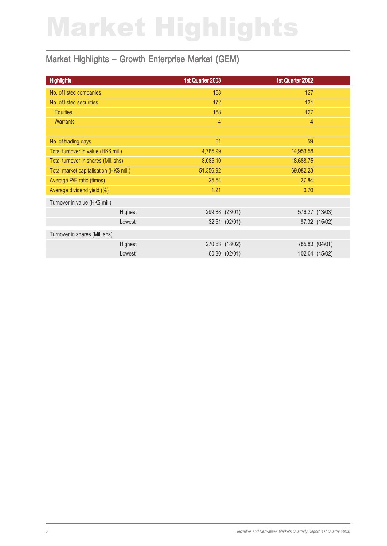# Market Highlights

### Market Highlights – Growth Enterprise Market (GEM)

| <b>Highlights</b>                       | 1st Quarter 2003 | 1st Quarter 2002 |                |
|-----------------------------------------|------------------|------------------|----------------|
| No. of listed companies                 | 168              | 127              |                |
| No. of listed securities                | 172              | 131              |                |
| <b>Equities</b>                         | 168              | 127              |                |
| <b>Warrants</b>                         | $\overline{4}$   | $\overline{4}$   |                |
|                                         |                  |                  |                |
| No. of trading days                     | 61               | 59               |                |
| Total turnover in value (HK\$ mil.)     | 4,785.99         | 14,953.58        |                |
| Total turnover in shares (Mil. shs)     | 8,085.10         | 18,688.75        |                |
| Total market capitalisation (HK\$ mil.) | 51,356.92        | 69,082.23        |                |
| Average P/E ratio (times)               | 25.54            | 27.84            |                |
| Average dividend yield (%)              | 1.21             | 0.70             |                |
| Turnover in value (HK\$ mil.)           |                  |                  |                |
| Highest                                 | 299.88 (23/01)   |                  | 576.27 (13/03) |
| Lowest                                  |                  | 32.51 (02/01)    | 87.32 (15/02)  |
| Turnover in shares (Mil. shs)           |                  |                  |                |
| Highest                                 | 270.63 (18/02)   |                  | 785.83 (04/01) |
| Lowest                                  |                  | 60.30 (02/01)    | 102.04 (15/02) |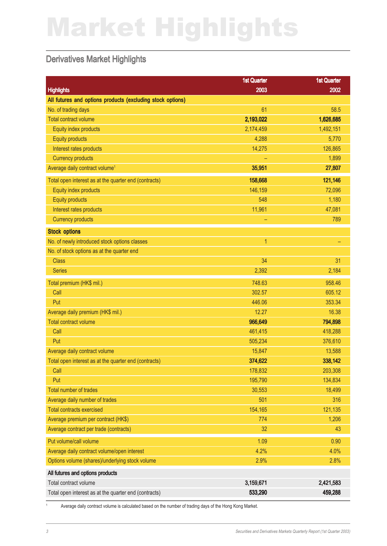# Market Highlights

#### Derivatives Market Highlights

|                                                            | <b>1st Quarter</b> | <b>1st Quarter</b> |
|------------------------------------------------------------|--------------------|--------------------|
| <b>Highlights</b>                                          | 2003               | 2002               |
| All futures and options products (excluding stock options) |                    |                    |
| No. of trading days                                        | 61                 | 58.5               |
| <b>Total contract volume</b>                               | 2,193,022          | 1,626,685          |
| Equity index products                                      | 2,174,459          | 1,492,151          |
| <b>Equity products</b>                                     | 4,288              | 5,770              |
| Interest rates products                                    | 14,275             | 126,865            |
| <b>Currency products</b>                                   |                    | 1,899              |
| Average daily contract volume <sup>1</sup>                 | 35,951             | 27,807             |
| Total open interest as at the quarter end (contracts)      | 158,668            | 121,146            |
| Equity index products                                      | 146,159            | 72,096             |
| <b>Equity products</b>                                     | 548                | 1,180              |
| Interest rates products                                    | 11,961             | 47,081             |
| <b>Currency products</b>                                   | -                  | 789                |
| <b>Stock options</b>                                       |                    |                    |
| No. of newly introduced stock options classes              | 1                  |                    |
| No. of stock options as at the quarter end                 |                    |                    |
| <b>Class</b>                                               | 34                 | 31                 |
| <b>Series</b>                                              | 2,392              | 2,184              |
| Total premium (HK\$ mil.)                                  | 748.63             | 958.46             |
| Call                                                       | 302.57             | 605.12             |
| Put                                                        | 446.06             | 353.34             |
| Average daily premium (HK\$ mil.)                          | 12.27              | 16.38              |
| <b>Total contract volume</b>                               | 966,649            | 794,898            |
| Call                                                       | 461,415            | 418,288            |
| Put                                                        | 505,234            | 376,610            |
| Average daily contract volume                              | 15,847             | 13,588             |
| Total open interest as at the quarter end (contracts)      | 374,622            | 338,142            |
| Call                                                       | 178,832            | 203,308            |
| Put                                                        | 195,790            | 134,834            |
| Total number of trades                                     | 30,553             | 18,499             |
| Average daily number of trades                             | 501                | 316                |
| <b>Total contracts exercised</b>                           | 154,165            | 121,135            |
| Average premium per contract (HK\$)                        | 774                | 1,206              |
| Average contract per trade (contracts)                     | 32                 | 43                 |
| Put volume/call volume                                     | 1.09               | 0.90               |
| Average daily contract volume/open interest                | 4.2%               | 4.0%               |
| Options volume (shares)/underlying stock volume            | 2.9%               | 2.8%               |
| All futures and options products                           |                    |                    |
| Total contract volume                                      | 3,159,671          | 2,421,583          |
| Total open interest as at the quarter end (contracts)      | 533,290            | 459,288            |
|                                                            |                    |                    |

<sup>1</sup> Average daily contract volume is calculated based on the number of trading days of the Hong Kong Market.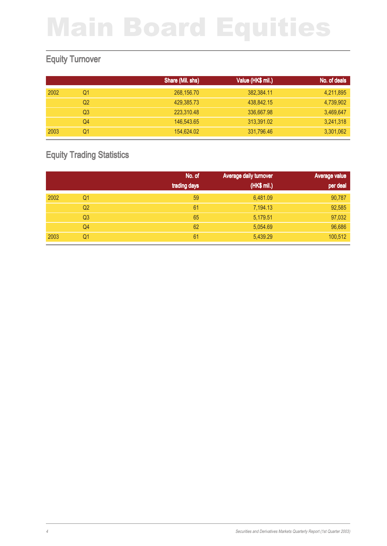### Equity Turnover

|      |                | Share (Mil. shs) | Value (HK\$ mil.) | No. of deals |
|------|----------------|------------------|-------------------|--------------|
| 2002 | Q1             | 268,156.70       | 382,384.11        | 4,211,895    |
|      | Q2             | 429,385.73       | 438,842.15        | 4,739,902    |
|      | Q <sub>3</sub> | 223,310.48       | 336,667.98        | 3,469,647    |
|      | Q4             | 146,543.65       | 313,391.02        | 3,241,318    |
| 2003 | Q1             | 154.624.02       | 331,796.46        | 3,301,062    |

### Equity Trading Statistics

|      |                | No. of       | Average daily turnover | Average value |
|------|----------------|--------------|------------------------|---------------|
|      |                | trading days | (HK\$ mil.)            | per deal      |
| 2002 | Q1             | 59           | 6,481.09               | 90,787        |
|      | Q <sub>2</sub> | 61           | 7,194.13               | 92,585        |
|      | Q <sub>3</sub> | 65           | 5,179.51               | 97,032        |
|      | Q4             | 62           | 5,054.69               | 96,686        |
| 2003 | Q1             | 61           | 5,439.29               | 100,512       |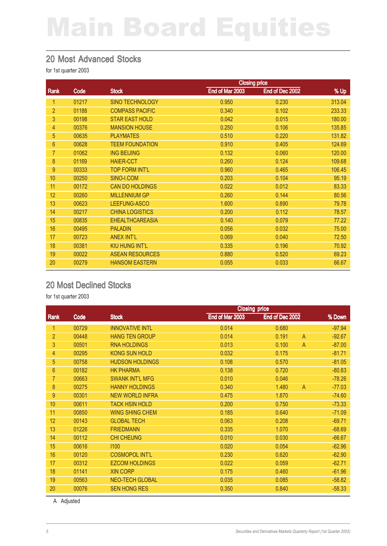#### 20 Most Advanced Stocks

for 1st quarter 2003

|                |       | <b>Closing price</b>   |                 |                 |        |
|----------------|-------|------------------------|-----------------|-----------------|--------|
| Rank           | Code  | <b>Stock</b>           | End of Mar 2003 | End of Dec 2002 | % Up   |
| 1              | 01217 | <b>SINO TECHNOLOGY</b> | 0.950           | 0.230           | 313.04 |
| $\overline{2}$ | 01188 | <b>COMPASS PACIFIC</b> | 0.340           | 0.102           | 233.33 |
| 3              | 00198 | <b>STAR EAST HOLD</b>  | 0.042           | 0.015           | 180.00 |
| 4              | 00376 | <b>MANSION HOUSE</b>   | 0.250           | 0.106           | 135.85 |
| 5              | 00635 | <b>PLAYMATES</b>       | 0.510           | 0.220           | 131.82 |
| $6\phantom{a}$ | 00628 | <b>TEEM FOUNDATION</b> | 0.910           | 0.405           | 124.69 |
| $\overline{7}$ | 01062 | <b>ING BEIJING</b>     | 0.132           | 0.060           | 120.00 |
| 8              | 01169 | <b>HAIER-CCT</b>       | 0.260           | 0.124           | 109.68 |
| 9              | 00333 | <b>TOP FORM INT'L</b>  | 0.960           | 0.465           | 106.45 |
| 10             | 00250 | SINO-I.COM             | 0.203           | 0.104           | 95.19  |
| 11             | 00172 | <b>CAN DO HOLDINGS</b> | 0.022           | 0.012           | 83.33  |
| 12             | 00260 | <b>MILLENNIUM GP</b>   | 0.260           | 0.144           | 80.56  |
| 13             | 00623 | LEEFUNG-ASCO           | 1.600           | 0.890           | 79.78  |
| 14             | 00217 | <b>CHINA LOGISTICS</b> | 0.200           | 0.112           | 78.57  |
| 15             | 00835 | <b>EHEALTHCAREASIA</b> | 0.140           | 0.079           | 77.22  |
| 16             | 00495 | <b>PALADIN</b>         | 0.056           | 0.032           | 75.00  |
| 17             | 00723 | <b>ANEX INT'L</b>      | 0.069           | 0.040           | 72.50  |
| 18             | 00381 | <b>KIU HUNG INT'L</b>  | 0.335           | 0.196           | 70.92  |
| 19             | 00022 | <b>ASEAN RESOURCES</b> | 0.880           | 0.520           | 69.23  |
| 20             | 00279 | <b>HANSOM EASTERN</b>  | 0.055           | 0.033           | 66.67  |

#### 20 Most Declined Stocks

for 1st quarter 2003

|                |       | <b>Closing price</b>   |                 |                         |          |
|----------------|-------|------------------------|-----------------|-------------------------|----------|
| <b>Rank</b>    | Code  | <b>Stock</b>           | End of Mar 2003 | End of Dec 2002         | % Down   |
| 1              | 00729 | <b>INNOVATIVE INTL</b> | 0.014           | 0.680                   | $-97.94$ |
| $\overline{2}$ | 00448 | <b>HANG TEN GROUP</b>  | 0.014           | 0.191<br>$\overline{A}$ | $-92.67$ |
| 3              | 00501 | <b>RNA HOLDINGS</b>    | 0.013           | 0.100<br>$\overline{A}$ | $-87.00$ |
| 4              | 00295 | <b>KONG SUN HOLD</b>   | 0.032           | 0.175                   | $-81.71$ |
| 5              | 00758 | <b>HUDSON HOLDINGS</b> | 0.108           | 0.570                   | $-81.05$ |
| $6\phantom{1}$ | 00182 | <b>HK PHARMA</b>       | 0.138           | 0.720                   | $-80.83$ |
| 7              | 00663 | <b>SWANK INT'L MFG</b> | 0.010           | 0.046                   | $-78.26$ |
| 8              | 00275 | <b>HANNY HOLDINGS</b>  | 0.340           | $\mathsf{A}$<br>1.480   | $-77.03$ |
| 9              | 00301 | <b>NEW WORLD INFRA</b> | 0.475           | 1.870                   | $-74.60$ |
| 10             | 00611 | <b>TACK HSIN HOLD</b>  | 0.200           | 0.750                   | $-73.33$ |
| 11             | 00850 | <b>WING SHING CHEM</b> | 0.185           | 0.640                   | $-71.09$ |
| 12             | 00143 | <b>GLOBAL TECH</b>     | 0.063           | 0.208                   | $-69.71$ |
| 13             | 01226 | <b>FRIEDMANN</b>       | 0.335           | 1.070                   | $-68.69$ |
| 14             | 00112 | <b>CHI CHEUNG</b>      | 0.010           | 0.030                   | $-66.67$ |
| 15             | 00616 | 1100                   | 0.020           | 0.054                   | $-62.96$ |
| 16             | 00120 | <b>COSMOPOL INT'L</b>  | 0.230           | 0.620                   | $-62.90$ |
| 17             | 00312 | <b>EZCOM HOLDINGS</b>  | 0.022           | 0.059                   | $-62.71$ |
| 18             | 01141 | <b>XIN CORP</b>        | 0.175           | 0.460                   | $-61.96$ |
| 19             | 00563 | <b>NEO-TECH GLOBAL</b> | 0.035           | 0.085                   | $-58.82$ |
| 20             | 00076 | <b>SEN HONG RES</b>    | 0.350           | 0.840                   | $-58.33$ |

A Adjusted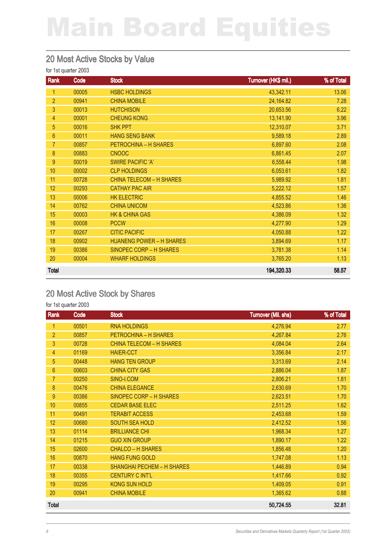#### 20 Most Active Stocks by Value

#### for 1st quarter 2003

| Rank           | Code  | <b>Stock</b>                    | Turnover (HK\$ mil.) | % of Total |
|----------------|-------|---------------------------------|----------------------|------------|
| 1              | 00005 | <b>HSBC HOLDINGS</b>            | 43,342.11            | 13.06      |
| $\overline{2}$ | 00941 | <b>CHINA MOBILE</b>             | 24,164.82            | 7.28       |
| 3              | 00013 | <b>HUTCHISON</b>                | 20,653.56            | 6.22       |
| $\overline{4}$ | 00001 | <b>CHEUNG KONG</b>              | 13,141.90            | 3.96       |
| 5              | 00016 | <b>SHK PPT</b>                  | 12,310.07            | 3.71       |
| $6\phantom{1}$ | 00011 | <b>HANG SENG BANK</b>           | 9,589.18             | 2.89       |
| 7              | 00857 | PETROCHINA - H SHARES           | 6,897.60             | 2.08       |
| $\bf 8$        | 00883 | <b>CNOOC</b>                    | 6,861.45             | 2.07       |
| 9              | 00019 | <b>SWIRE PACIFIC 'A'</b>        | 6,558.44             | 1.98       |
| 10             | 00002 | <b>CLP HOLDINGS</b>             | 6,053.61             | 1.82       |
| 11             | 00728 | <b>CHINA TELECOM - H SHARES</b> | 5,989.92             | 1.81       |
| 12             | 00293 | <b>CATHAY PAC AIR</b>           | 5,222.12             | 1.57       |
| 13             | 00006 | <b>HK ELECTRIC</b>              | 4,855.52             | 1.46       |
| 14             | 00762 | <b>CHINA UNICOM</b>             | 4,523.86             | 1.36       |
| 15             | 00003 | <b>HK &amp; CHINA GAS</b>       | 4,386.09             | 1.32       |
| 16             | 00008 | <b>PCCW</b>                     | 4,277.90             | 1.29       |
| 17             | 00267 | <b>CITIC PACIFIC</b>            | 4,050.88             | 1.22       |
| 18             | 00902 | <b>HUANENG POWER - H SHARES</b> | 3,894.69             | 1.17       |
| 19             | 00386 | SINOPEC CORP - H SHARES         | 3,781.38             | 1.14       |
| 20             | 00004 | <b>WHARF HOLDINGS</b>           | 3,765.20             | 1.13       |
| <b>Total</b>   |       |                                 | 194,320.33           | 58.57      |

#### 20 Most Active Stock by Shares

| Rank           | Code  | <b>Stock</b>                      | <b>Turnover (Mil. shs)</b> | % of Total |
|----------------|-------|-----------------------------------|----------------------------|------------|
| $\mathbf{1}$   | 00501 | <b>RNA HOLDINGS</b>               | 4,276.94                   | 2.77       |
| $\overline{2}$ | 00857 | PETROCHINA - H SHARES             | 4,267.84                   | 2.76       |
| 3              | 00728 | <b>CHINA TELECOM - H SHARES</b>   | 4,084.04                   | 2.64       |
| 4              | 01169 | <b>HAIER-CCT</b>                  | 3,356.84                   | 2.17       |
| 5              | 00448 | <b>HANG TEN GROUP</b>             | 3,313.69                   | 2.14       |
| $6\phantom{a}$ | 00603 | <b>CHINA CITY GAS</b>             | 2,886.04                   | 1.87       |
| $\overline{7}$ | 00250 | SINO-I.COM                        | 2,806.21                   | 1.81       |
| 8              | 00476 | <b>CHINA ELEGANCE</b>             | 2,630.69                   | 1.70       |
| 9              | 00386 | SINOPEC CORP - H SHARES           | 2,623.51                   | 1.70       |
| 10             | 00855 | <b>CEDAR BASE ELEC</b>            | 2,511.25                   | 1.62       |
| 11             | 00491 | <b>TERABIT ACCESS</b>             | 2,453.68                   | 1.59       |
| 12             | 00680 | <b>SOUTH SEA HOLD</b>             | 2,412.52                   | 1.56       |
| 13             | 01114 | <b>BRILLIANCE CHI</b>             | 1,968.34                   | 1.27       |
| 14             | 01215 | <b>GUO XIN GROUP</b>              | 1,890.17                   | 1.22       |
| 15             | 02600 | <b>CHALCO - H SHARES</b>          | 1,856.48                   | 1.20       |
| 16             | 00870 | <b>HANG FUNG GOLD</b>             | 1,747.08                   | 1.13       |
| 17             | 00338 | <b>SHANGHAI PECHEM - H SHARES</b> | 1,446.89                   | 0.94       |
| 18             | 00355 | <b>CENTURY C INT'L</b>            | 1,417.66                   | 0.92       |
| 19             | 00295 | <b>KONG SUN HOLD</b>              | 1,409.05                   | 0.91       |
| 20             | 00941 | <b>CHINA MOBILE</b>               | 1,365.62                   | 0.88       |
| <b>Total</b>   |       |                                   | 50,724.55                  | 32.81      |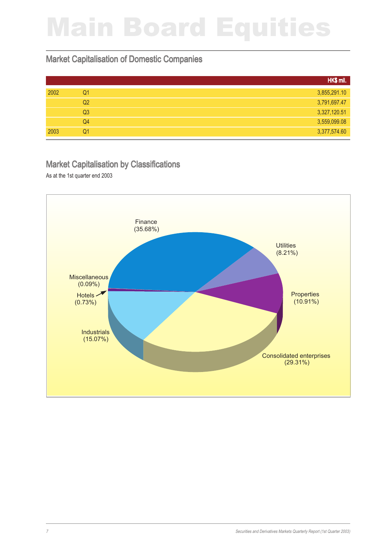#### Market Capitalisation of Domestic Companies

|      |                | HK\$ mil.    |
|------|----------------|--------------|
| 2002 | Q <sub>1</sub> | 3,855,291.10 |
|      | Q <sub>2</sub> | 3,791,697.47 |
|      | Q <sub>3</sub> | 3,327,120.51 |
|      | Q4             | 3,559,099.08 |
| 2003 | Q <sub>1</sub> | 3,377,574.60 |

#### Market Capitalisation by Classifications

As at the 1st quarter end 2003

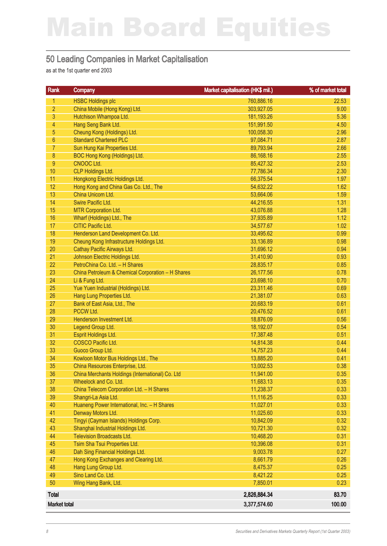#### 50 Leading Companies in Market Capitalisation

as at the 1st quarter end 2003

| <b>Rank</b>         | Company                                           | Market capitalisation (HK\$ mil.) | % of market total |
|---------------------|---------------------------------------------------|-----------------------------------|-------------------|
| $\mathbf{1}$        | <b>HSBC Holdings plc</b>                          | 760,886.16                        | 22.53             |
| $\overline{2}$      | China Mobile (Hong Kong) Ltd.                     | 303,927.05                        | 9.00              |
| 3                   | Hutchison Whampoa Ltd.                            | 181,193.26                        | 5.36              |
| $\overline{4}$      | Hang Seng Bank Ltd.                               | 151,991.50                        | 4.50              |
| 5                   | Cheung Kong (Holdings) Ltd.                       | 100,058.30                        | 2.96              |
| $6\,$               | <b>Standard Chartered PLC</b>                     | 97,084.71                         | 2.87              |
| $\overline{7}$      | Sun Hung Kai Properties Ltd.                      | 89,793.94                         | 2.66              |
| $\bf 8$             | BOC Hong Kong (Holdings) Ltd.                     | 86,168.16                         | 2.55              |
| 9                   | CNOOC Ltd.                                        | 85,427.32                         | 2.53              |
| 10                  | <b>CLP Holdings Ltd.</b>                          | 77,786.34                         | 2.30              |
| 11                  | Hongkong Electric Holdings Ltd.                   | 66,375.54                         | 1.97              |
| 12                  | Hong Kong and China Gas Co. Ltd., The             | 54,632.22                         | 1.62              |
| 13                  | China Unicom Ltd.                                 | 53,664.06                         | 1.59              |
| 14                  | Swire Pacific Ltd.                                | 44,216.55                         | 1.31              |
| 15                  | <b>MTR Corporation Ltd.</b>                       | 43,076.88                         | 1.28              |
| 16                  | Wharf (Holdings) Ltd., The                        | 37,935.89                         | 1.12              |
| 17                  | <b>CITIC Pacific Ltd.</b>                         | 34,577.67                         | 1.02              |
| 18                  | Henderson Land Development Co. Ltd.               | 33,495.62                         | 0.99              |
| 19                  | Cheung Kong Infrastructure Holdings Ltd.          | 33,136.89                         | 0.98              |
| 20                  | Cathay Pacific Airways Ltd.                       | 31,696.12                         | 0.94              |
| 21                  | Johnson Electric Holdings Ltd.                    | 31,410.90                         | 0.93              |
| 22                  | PetroChina Co. Ltd. - H Shares                    | 28,835.17                         | 0.85              |
| 23                  | China Petroleum & Chemical Corporation - H Shares | 26,177.56                         | 0.78              |
| 24                  | Li & Fung Ltd.                                    | 23,698.10                         | 0.70              |
| 25                  | Yue Yuen Industrial (Holdings) Ltd.               | 23,311.46                         | 0.69              |
| 26                  | Hang Lung Properties Ltd.                         | 21,381.07                         | 0.63              |
| 27                  | Bank of East Asia, Ltd., The                      | 20,683.19                         | 0.61              |
| 28                  | PCCW Ltd.                                         | 20,476.52                         | 0.61              |
| 29                  | Henderson Investment Ltd.                         | 18,876.09                         | 0.56              |
| 30                  | Legend Group Ltd.                                 | 18,192.07                         | 0.54              |
| 31                  | Esprit Holdings Ltd.                              | 17,387.48                         | 0.51              |
| 32                  | COSCO Pacific Ltd.                                | 14,814.38                         | 0.44              |
| 33                  | Guoco Group Ltd.                                  | 14,757.23                         | 0.44              |
| 34                  | Kowloon Motor Bus Holdings Ltd., The              | 13,885.20                         | 0.41              |
| 35                  | China Resources Enterprise, Ltd.                  | 13,002.53                         | 0.38              |
| 36                  | China Merchants Holdings (International) Co. Ltd  | 11,941.00                         | 0.35              |
| 37                  | Wheelock and Co. Ltd.                             | 11,683.13                         | 0.35              |
| 38                  | China Telecom Corporation Ltd. - H Shares         | 11,238.37                         | 0.33              |
| 39                  | Shangri-La Asia Ltd.                              | 11,116.25                         | 0.33              |
| 40                  | Huaneng Power International, Inc. - H Shares      | 11,027.01                         | 0.33              |
| 41                  | Denway Motors Ltd.                                | 11,025.60                         | 0.33              |
| 42                  | Tingyi (Cayman Islands) Holdings Corp.            | 10,842.09                         | 0.32              |
| 43                  | Shanghai Industrial Holdings Ltd.                 | 10,721.30                         | 0.32              |
| 44                  | Television Broadcasts Ltd.                        | 10,468.20                         | 0.31              |
| 45                  | Tsim Sha Tsui Properties Ltd.                     | 10,396.08                         | 0.31              |
| 46                  | Dah Sing Financial Holdings Ltd.                  | 9,003.78                          | 0.27              |
| 47                  | Hong Kong Exchanges and Clearing Ltd.             | 8,661.79                          | 0.26              |
| 48                  | Hang Lung Group Ltd.                              | 8,475.37                          | 0.25              |
| 49                  | Sino Land Co. Ltd.                                | 8,421.22                          | 0.25              |
| 50                  | Wing Hang Bank, Ltd.                              | 7,850.01                          | 0.23              |
| Total               |                                                   | 2,826,884.34                      | 83.70             |
| <b>Market total</b> |                                                   | 3,377,574.60                      | 100.00            |
|                     |                                                   |                                   |                   |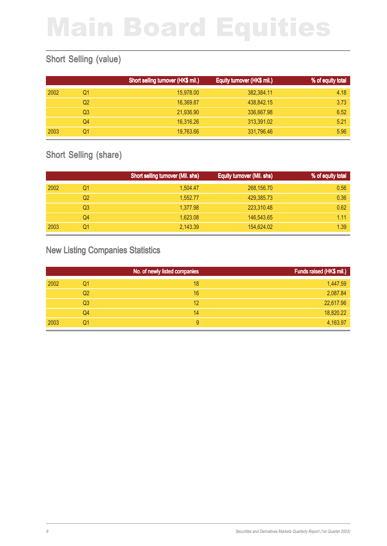### Short Selling (value)

|      |    | Short selling turnover (HK\$ mil.) | Equity turnover (HK\$ mil.) | % of equity total |
|------|----|------------------------------------|-----------------------------|-------------------|
| 2002 | Q1 | 15,978.00                          | 382,384.11                  | 4.18              |
|      | Q2 | 16.369.87                          | 438,842.15                  | 3.73              |
|      | Q3 | 21,936.90                          | 336,667.98                  | 6.52              |
|      | Q4 | 16,316.26                          | 313,391.02                  | 5.21              |
| 2003 | Q1 | 19,763.66                          | 331,796.46                  | 5.96              |

### Short Selling (share)

|      |                | Short selling turnover (Mil. shs) | Equity turnover (Mil. shs) | % of equity total |
|------|----------------|-----------------------------------|----------------------------|-------------------|
| 2002 | Q1             | 1,504.47                          | 268,156.70                 | 0.56              |
|      | Q2             | 1.552.77                          | 429,385,73                 | 0.36              |
|      | Q <sub>3</sub> | 1,377.98                          | 223,310.48                 | 0.62              |
|      | Q4             | 1.623.08                          | 146,543.65                 | 1.11              |
| 2003 | Q1             | 2.143.39                          | 154,624.02                 | 1.39              |

### New Listing Companies Statistics

|      |                | No. of newly listed companies | Funds raised (HK\$ mil.) |
|------|----------------|-------------------------------|--------------------------|
| 2002 | Q1             | 18                            | 1,447.59                 |
|      | Q <sub>2</sub> | 16                            | 2,087.84                 |
|      | Q <sub>3</sub> | 12                            | 22,617.96                |
|      | Q4             | 14                            | 18,820.22                |
| 2003 | Q1             | 9                             | 4,163.97                 |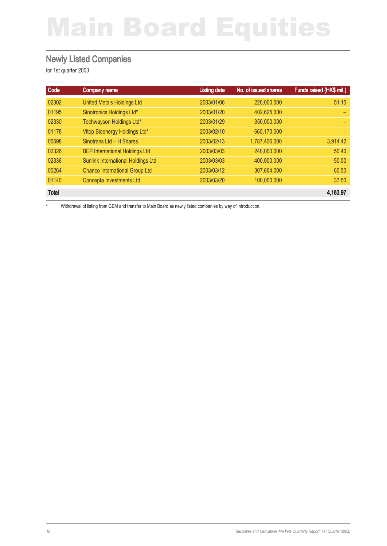#### Newly Listed Companies

for 1st quarter 2003

| Code         | <b>Company name</b>                   | <b>Listing date</b> | No. of issued shares | Funds raised (HK\$ mil.) |
|--------------|---------------------------------------|---------------------|----------------------|--------------------------|
| 02302        | <b>United Metals Holdings Ltd</b>     | 2003/01/06          | 220,000,000          | 51.15                    |
| 01195        | Sinotronics Holdings Ltd*             | 2003/01/20          | 402,625,000          |                          |
| 02330        | Techwayson Holdings Ltd*              | 2003/01/29          | 350,000,000          |                          |
| 01178        | Vitop Bioenergy Holdings Ltd*         | 2003/02/10          | 665,170,000          |                          |
| 00598        | Sinotrans Ltd - H Shares              | 2003/02/13          | 1,787,406,000        | 3,914.42                 |
| 02326        | <b>BEP International Holdings Ltd</b> | 2003/03/03          | 240,000,000          | 50.40                    |
| 02336        | Sunlink International Holdings Ltd    | 2003/03/03          | 400,000,000          | 50.00                    |
| 00264        | <b>Chanco International Group Ltd</b> | 2003/03/12          | 307.664.000          | 60.50                    |
| 01140        | Concepta Investments Ltd              | 2003/03/20          | 100.000.000          | 37.50                    |
| <b>Total</b> |                                       |                     |                      | 4,163.97                 |

\* Withdrawal of listing from GEM and transfer to Main Board as newly listed companies by way of introduction.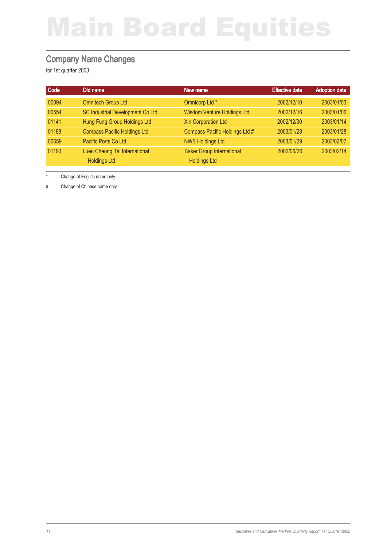#### Company Name Changes

for 1st quarter 2003

| Code  | Old name                            | New name                           | <b>Effective date</b> | <b>Adoption date</b> |
|-------|-------------------------------------|------------------------------------|-----------------------|----------------------|
| 00094 | <b>Omnitech Group Ltd</b>           | Omnicorp Ltd *                     | 2002/12/10            | 2003/01/03           |
| 00554 | SC Industrial Development Co Ltd    | <b>Wisdom Venture Holdings Ltd</b> | 2002/12/16            | 2003/01/06           |
| 01141 | Hung Fung Group Holdings Ltd        | <b>Xin Corporation Ltd</b>         | 2002/12/30            | 2003/01/14           |
| 01188 | <b>Compass Pacific Holdings Ltd</b> | Compass Pacific Holdings Ltd #     | 2003/01/28            | 2003/01/28           |
| 00659 | Pacific Ports Co Ltd                | <b>NWS Holdings Ltd</b>            | 2003/01/29            | 2003/02/07           |
| 01190 | Luen Cheong Tai International       | <b>Baker Group International</b>   | 2002/06/26            | 2003/02/14           |
|       | <b>Holdings Ltd</b>                 | <b>Holdings Ltd</b>                |                       |                      |

\* Change of English name only

# Change of Chinese name only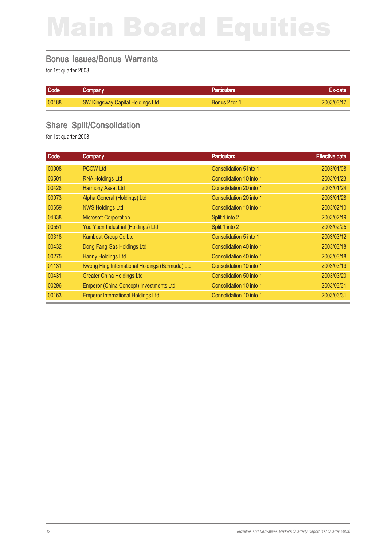#### Bonus Issues/Bonus Warrants

for 1st quarter 2003

| Code  | Company                           | Particulars'  | <b>Excolate</b> |
|-------|-----------------------------------|---------------|-----------------|
| 00188 | SW Kingsway Capital Holdings Ltd. | Bonus 2 for 1 | 2003/03/11      |

### Share Split/Consolidation

| Code  | Company                                         | <b>Particulars</b>      | <b>Effective date</b> |
|-------|-------------------------------------------------|-------------------------|-----------------------|
| 00008 | <b>PCCW Ltd</b>                                 | Consolidation 5 into 1  | 2003/01/08            |
| 00501 | <b>RNA Holdings Ltd</b>                         | Consolidation 10 into 1 | 2003/01/23            |
| 00428 | <b>Harmony Asset Ltd</b>                        | Consolidation 20 into 1 | 2003/01/24            |
| 00073 | Alpha General (Holdings) Ltd                    | Consolidation 20 into 1 | 2003/01/28            |
| 00659 | <b>NWS Holdings Ltd</b>                         | Consolidation 10 into 1 | 2003/02/10            |
| 04338 | <b>Microsoft Corporation</b>                    | Split 1 into 2          | 2003/02/19            |
| 00551 | Yue Yuen Industrial (Holdings) Ltd              | Split 1 into 2          | 2003/02/25            |
| 00318 | Kamboat Group Co Ltd                            | Consolidation 5 into 1  | 2003/03/12            |
| 00432 | Dong Fang Gas Holdings Ltd                      | Consolidation 40 into 1 | 2003/03/18            |
| 00275 | <b>Hanny Holdings Ltd</b>                       | Consolidation 40 into 1 | 2003/03/18            |
| 01131 | Kwong Hing International Holdings (Bermuda) Ltd | Consolidation 10 into 1 | 2003/03/19            |
| 00431 | <b>Greater China Holdings Ltd</b>               | Consolidation 50 into 1 | 2003/03/20            |
| 00296 | Emperor (China Concept) Investments Ltd         | Consolidation 10 into 1 | 2003/03/31            |
| 00163 | <b>Emperor International Holdings Ltd</b>       | Consolidation 10 into 1 | 2003/03/31            |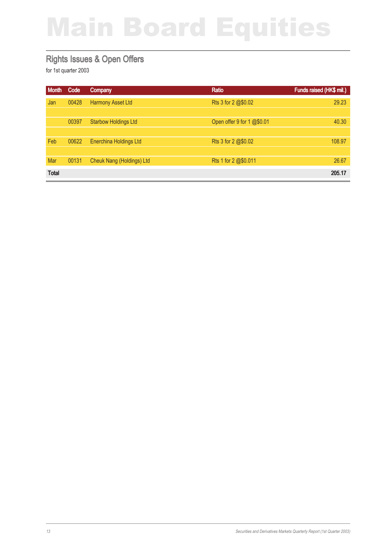#### Rights Issues & Open Offers

| <b>Month</b> | Code  | Company                       | <b>Ratio</b>               | Funds raised (HK\$ mil.) |
|--------------|-------|-------------------------------|----------------------------|--------------------------|
| Jan          | 00428 | <b>Harmony Asset Ltd</b>      | Rts 3 for 2 @\$0.02        | 29.23                    |
|              |       |                               |                            |                          |
|              | 00397 | <b>Starbow Holdings Ltd</b>   | Open offer 9 for 1 @\$0.01 | 40.30                    |
|              |       |                               |                            |                          |
| Feb          | 00622 | <b>Enerchina Holdings Ltd</b> | Rts 3 for 2 @\$0.02        | 108.97                   |
|              |       |                               |                            |                          |
| Mar          | 00131 | Cheuk Nang (Holdings) Ltd     | Rts 1 for 2 @\$0.011       | 26.67                    |
| <b>Total</b> |       |                               |                            | 205.17                   |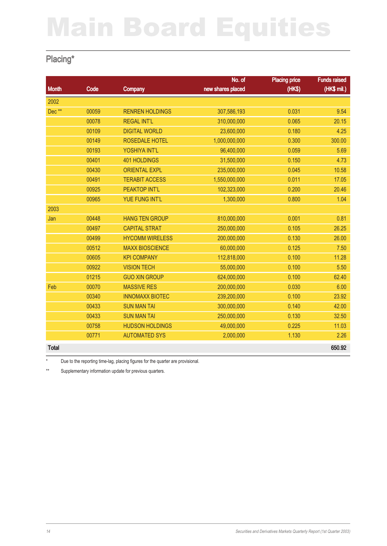### Placing\*

|              |       |                        | No. of            | <b>Placing price</b> | <b>Funds raised</b> |
|--------------|-------|------------------------|-------------------|----------------------|---------------------|
| <b>Month</b> | Code  | Company                | new shares placed | (HK\$)               | (HK\$ mil.)         |
| 2002         |       |                        |                   |                      |                     |
| Dec**        | 00059 | <b>RENREN HOLDINGS</b> | 307,586,193       | 0.031                | 9.54                |
|              | 00078 | <b>REGAL INT'L</b>     | 310,000,000       | 0.065                | 20.15               |
|              | 00109 | <b>DIGITAL WORLD</b>   | 23,600,000        | 0.180                | 4.25                |
|              | 00149 | <b>ROSEDALE HOTEL</b>  | 1,000,000,000     | 0.300                | 300.00              |
|              | 00193 | YOSHIYA INT'L          | 96,400,000        | 0.059                | 5.69                |
|              | 00401 | <b>401 HOLDINGS</b>    | 31,500,000        | 0.150                | 4.73                |
|              | 00430 | <b>ORIENTAL EXPL</b>   | 235,000,000       | 0.045                | 10.58               |
|              | 00491 | <b>TERABIT ACCESS</b>  | 1,550,000,000     | 0.011                | 17.05               |
|              | 00925 | PEAKTOP INT'L          | 102,323,000       | 0.200                | 20.46               |
|              | 00965 | <b>YUE FUNG INT'L</b>  | 1,300,000         | 0.800                | 1.04                |
| 2003         |       |                        |                   |                      |                     |
| Jan          | 00448 | <b>HANG TEN GROUP</b>  | 810,000,000       | 0.001                | 0.81                |
|              | 00497 | <b>CAPITAL STRAT</b>   | 250,000,000       | 0.105                | 26.25               |
|              | 00499 | <b>HYCOMM WIRELESS</b> | 200,000,000       | 0.130                | 26.00               |
|              | 00512 | <b>MAXX BIOSCIENCE</b> | 60,000,000        | 0.125                | 7.50                |
|              | 00605 | <b>KPI COMPANY</b>     | 112,818,000       | 0.100                | 11.28               |
|              | 00922 | <b>VISION TECH</b>     | 55,000,000        | 0.100                | 5.50                |
|              | 01215 | <b>GUO XIN GROUP</b>   | 624,000,000       | 0.100                | 62.40               |
| Feb          | 00070 | <b>MASSIVE RES</b>     | 200,000,000       | 0.030                | 6.00                |
|              | 00340 | <b>INNOMAXX BIOTEC</b> | 239,200,000       | 0.100                | 23.92               |
|              | 00433 | <b>SUN MAN TAI</b>     | 300,000,000       | 0.140                | 42.00               |
|              | 00433 | <b>SUN MAN TAI</b>     | 250,000,000       | 0.130                | 32.50               |
|              | 00758 | <b>HUDSON HOLDINGS</b> | 49,000,000        | 0.225                | 11.03               |
|              | 00771 | <b>AUTOMATED SYS</b>   | 2,000,000         | 1.130                | 2.26                |
| <b>Total</b> |       |                        |                   |                      | 650.92              |

\* Due to the reporting time-lag, placing figures for the quarter are provisional.

\*\* Supplementary information update for previous quarters.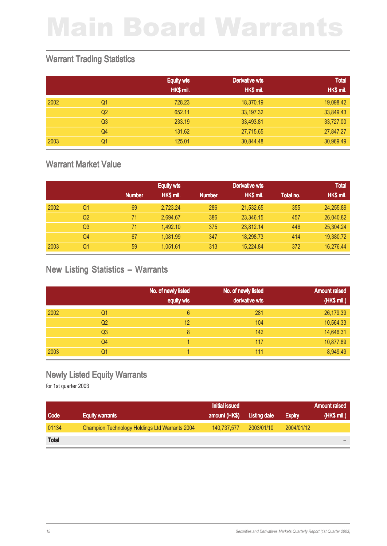#### Warrant Trading Statistics

|      |                | <b>Equity wts</b> | Derivative wts | <b>Total</b> |
|------|----------------|-------------------|----------------|--------------|
|      |                | HK\$ mil.         | HK\$ mil.      | HK\$ mil.    |
| 2002 | Q1             | 728.23            | 18,370.19      | 19,098.42    |
|      | Q <sub>2</sub> | 652.11            | 33,197.32      | 33,849.43    |
|      | Q <sub>3</sub> | 233.19            | 33,493.81      | 33,727.00    |
|      | Q <sub>4</sub> | 131.62            | 27,715.65      | 27,847.27    |
| 2003 | Q1             | 125.01            | 30,844.48      | 30,969.49    |

#### Warrant Market Value

|      |                |               | <b>Equity wts</b> | Derivative wts |           |           | <b>Total</b> |
|------|----------------|---------------|-------------------|----------------|-----------|-----------|--------------|
|      |                | <b>Number</b> | HK\$ mil.         | <b>Number</b>  | HK\$ mil. | Total no. | HK\$ mil.    |
| 2002 | Q1             | 69            | 2,723.24          | 286            | 21,532.65 | 355       | 24,255.89    |
|      | Q2             | 71            | 2.694.67          | 386            | 23,346.15 | 457       | 26,040.82    |
|      | Q <sub>3</sub> | 71            | 1.492.10          | 375            | 23.812.14 | 446       | 25,304.24    |
|      | Q4             | 67            | 1.081.99          | 347            | 18.298.73 | 414       | 19,380.72    |
| 2003 | Q1             | 59            | 1.051.61          | 313            | 15.224.84 | 372       | 16,276.44    |

#### New Listing Statistics – Warrants

|      |                | No. of newly listed | No. of newly listed | <b>Amount raised</b> |
|------|----------------|---------------------|---------------------|----------------------|
|      |                | equity wts          | derivative wts      | (HK\$ mil.)          |
| 2002 | Q1             | 6                   | 281                 | 26,179.39            |
|      | Q <sub>2</sub> | 12                  | 104                 | 10,564.33            |
|      | Q <sub>3</sub> | 8                   | 142                 | 14,646.31            |
|      | Q4             |                     | 117                 | 10,877.89            |
| 2003 | Q1             |                     | 111                 | 8,949.49             |

#### Newly Listed Equity Warrants

|              |                                                | <b>Initial issued</b> |                     |               | <b>Amount raised</b>                                   |
|--------------|------------------------------------------------|-----------------------|---------------------|---------------|--------------------------------------------------------|
| Code         | <b>Equity warrants</b>                         | amount (HK\$)         | <b>Listing date</b> | <b>Expiry</b> | $\mathcal{N}(\mathsf{HK\$}\mathsf{mil.})^{\mathsf{t}}$ |
| 01134        | Champion Technology Holdings Ltd Warrants 2004 | 140.737.577           | 2003/01/10          | 2004/01/12    |                                                        |
| <b>Total</b> |                                                |                       |                     |               |                                                        |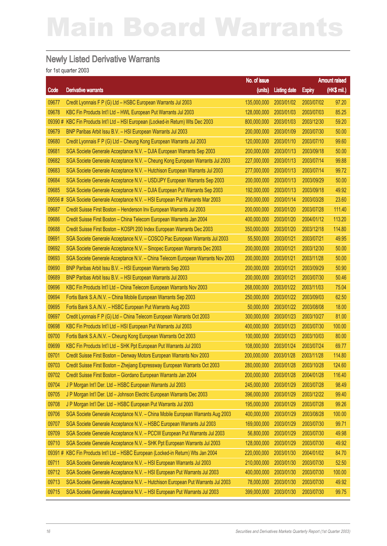#### Newly Listed Derivative Warrants

|        |                                                                                 | No. of issue |                     | <b>Amount raised</b> |             |
|--------|---------------------------------------------------------------------------------|--------------|---------------------|----------------------|-------------|
| Code   | <b>Derivative warrants</b>                                                      | (units)      | <b>Listing date</b> | <b>Expiry</b>        | (HK\$ mil.) |
| 09677  | Credit Lyonnais F P (G) Ltd - HSBC European Warrants Jul 2003                   | 135,000,000  | 2003/01/02          | 2003/07/02           | 97.20       |
| 09678  | KBC Fin Products Int'l Ltd - HWL European Put Warrants Jul 2003                 | 128,000,000  | 2003/01/03          | 2003/07/03           | 85.25       |
| 09390# | KBC Fin Products Int'l Ltd - HSI European (Locked-in Return) Wts Dec 2003       | 800,000,000  | 2003/01/03          | 2003/12/30           | 59.20       |
| 09679  | BNP Paribas Arbit Issu B.V. - HSI European Warrants Jul 2003                    | 200,000,000  | 2003/01/09          | 2003/07/30           | 50.00       |
| 09680  | Credit Lyonnais F P (G) Ltd - Cheung Kong European Warrants Jul 2003            | 120,000,000  | 2003/01/10          | 2003/07/10           | 99.60       |
| 09681  | SGA Societe Generale Acceptance N.V. - DJIA European Warrants Sep 2003          | 200,000,000  | 2003/01/13          | 2003/09/18           | 50.00       |
| 09682  | SGA Societe Generale Acceptance N.V. - Cheung Kong European Warrants Jul 2003   | 227,000,000  | 2003/01/13          | 2003/07/14           | 99.88       |
| 09683  | SGA Societe Generale Acceptance N.V. - Hutchison European Warrants Jul 2003     | 277,000,000  | 2003/01/13          | 2003/07/14           | 99.72       |
| 09684  | SGA Societe Generale Acceptance N.V. - USD/JPY European Warrants Sep 2003       | 200,000,000  | 2003/01/13          | 2003/09/29           | 50.00       |
| 09685  | SGA Societe Generale Acceptance N.V. - DJIA European Put Warrants Sep 2003      | 192,000,000  | 2003/01/13          | 2003/09/18           | 49.92       |
| 09556# | SGA Societe Generale Acceptance N.V. - HSI European Put Warrants Mar 2003       | 200,000,000  | 2003/01/14          | 2003/03/28           | 23.60       |
| 09687  | Credit Suisse First Boston - Henderson Inv European Warrants Jul 2003           | 200,000,000  | 2003/01/20          | 2003/07/28           | 111.40      |
| 09686  | Credit Suisse First Boston - China Telecom European Warrants Jan 2004           | 400,000,000  | 2003/01/20          | 2004/01/12           | 113.20      |
| 09688  | Credit Suisse First Boston - KOSPI 200 Index European Warrants Dec 2003         | 350,000,000  | 2003/01/20          | 2003/12/18           | 114.80      |
| 09691  | SGA Societe Generale Acceptance N.V. - COSCO Pac European Warrants Jul 2003     | 55,500,000   | 2003/01/21          | 2003/07/21           | 49.95       |
| 09692  | SGA Societe Generale Acceptance N.V. - Sinopec European Warrants Dec 2003       | 200,000,000  | 2003/01/21          | 2003/12/30           | 50.00       |
| 09693  | SGA Societe Generale Acceptance N.V. - China Telecom European Warrants Nov 2003 | 200,000,000  | 2003/01/21          | 2003/11/28           | 50.00       |
| 09690  | BNP Paribas Arbit Issu B.V. - HSI European Warrants Sep 2003                    | 200,000,000  | 2003/01/21          | 2003/09/29           | 50.90       |
| 09689  | BNP Paribas Arbit Issu B.V. - HSI European Warrants Jul 2003                    | 200,000,000  | 2003/01/21          | 2003/07/30           | 50.46       |
| 09696  | KBC Fin Products Int'l Ltd - China Telecom European Warrants Nov 2003           | 268,000,000  | 2003/01/22          | 2003/11/03           | 75.04       |
| 09694  | Fortis Bank S.A./N.V. - China Mobile European Warrants Sep 2003                 | 250,000,000  | 2003/01/22          | 2003/09/03           | 62.50       |
| 09695  | Fortis Bank S.A./N.V. - HSBC European Put Warrants Aug 2003                     | 50,000,000   | 2003/01/22          | 2003/08/08           | 18.00       |
| 09697  | Credit Lyonnais F P (G) Ltd - China Telecom European Warrants Oct 2003          | 300,000,000  | 2003/01/23          | 2003/10/27           | 81.00       |
| 09698  | KBC Fin Products Int'l Ltd - HSI European Put Warrants Jul 2003                 | 400,000,000  | 2003/01/23          | 2003/07/30           | 100.00      |
| 09700  | Fortis Bank S.A./N.V. - Cheung Kong European Warrants Oct 2003                  | 100,000,000  | 2003/01/23          | 2003/10/03           | 80.00       |
| 09699  | KBC Fin Products Int'l Ltd - SHK Ppt European Put Warrants Jul 2003             | 108,000,000  | 2003/01/24          | 2003/07/24           | 69.77       |
| 09701  | Credit Suisse First Boston - Denway Motors European Warrants Nov 2003           | 200,000,000  | 2003/01/28          | 2003/11/28           | 114.80      |
| 09703  | Credit Suisse First Boston – Zhejiang Expressway European Warrants Oct 2003     | 280,000,000  | 2003/01/28          | 2003/10/28           | 124.60      |
| 09702  | Credit Suisse First Boston - Giordano European Warrants Jan 2004                | 200,000,000  | 2003/01/28          | 2004/01/28           | 116.40      |
| 09704  | J P Morgan Int'l Der. Ltd - HSBC European Warrants Jul 2003                     | 245,000,000  | 2003/01/29          | 2003/07/28           | 98.49       |
| 09705  | J P Morgan Int'l Der. Ltd - Johnson Electric European Warrants Dec 2003         | 396,000,000  | 2003/01/29          | 2003/12/22           | 99.40       |
| 09708  | J P Morgan Int'l Der. Ltd - HSBC European Put Warrants Jul 2003                 | 195,000,000  | 2003/01/29          | 2003/07/28           | 99.26       |
| 09706  | SGA Societe Generale Acceptance N.V. - China Mobile European Warrants Aug 2003  | 400,000,000  | 2003/01/29          | 2003/08/28           | 100.00      |
| 09707  | SGA Societe Generale Acceptance N.V. - HSBC European Warrants Jul 2003          | 169,000,000  | 2003/01/29          | 2003/07/30           | 99.71       |
| 09709  | SGA Societe Generale Acceptance N.V. - PCCW European Put Warrants Jul 2003      | 56,800,000   | 2003/01/29          | 2003/07/30           | 49.98       |
| 09710  | SGA Societe Generale Acceptance N.V. - SHK Ppt European Warrants Jul 2003       | 128,000,000  | 2003/01/29          | 2003/07/30           | 49.92       |
| 09391# | KBC Fin Products Int'l Ltd - HSBC European (Locked-in Return) Wts Jan 2004      | 220,000,000  | 2003/01/30          | 2004/01/02           | 84.70       |
| 09711  | SGA Societe Generale Acceptance N.V. - HSI European Warrants Jul 2003           | 210,000,000  | 2003/01/30          | 2003/07/30           | 52.50       |
| 09712  | SGA Societe Generale Acceptance N.V. - HSI European Put Warrants Jul 2003       | 400,000,000  | 2003/01/30          | 2003/07/30           | 100.00      |
| 09713  | SGA Societe Generale Acceptance N.V. - Hutchison European Put Warrants Jul 2003 | 78,000,000   | 2003/01/30          | 2003/07/30           | 49.92       |
| 09715  | SGA Societe Generale Acceptance N.V. - HSI European Put Warrants Jul 2003       | 399,000,000  | 2003/01/30          | 2003/07/30           | 99.75       |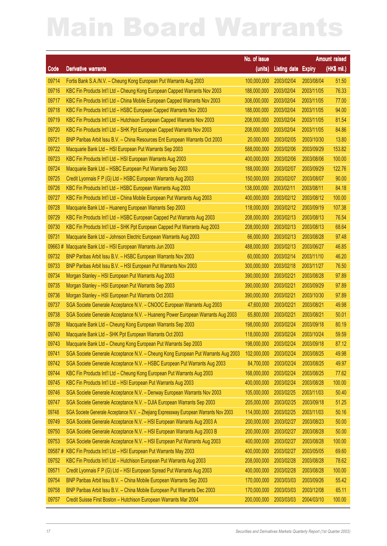|        |                                                                                       | No. of issue           |                     |               | Amount raised |
|--------|---------------------------------------------------------------------------------------|------------------------|---------------------|---------------|---------------|
| Code   | <b>Derivative warrants</b>                                                            | (units)                | <b>Listing date</b> | <b>Expiry</b> | $(HKS$ mil.)  |
| 09714  | Fortis Bank S.A./N.V. - Cheung Kong European Put Warrants Aug 2003                    | 100,000,000            | 2003/02/04          | 2003/08/04    | 51.50         |
| 09716  | KBC Fin Products Int'l Ltd - Cheung Kong European Capped Warrants Nov 2003            | 188,000,000            | 2003/02/04          | 2003/11/05    | 76.33         |
| 09717  | KBC Fin Products Int'l Ltd - China Mobile European Capped Warrants Nov 2003           | 308,000,000            | 2003/02/04          | 2003/11/05    | 77.00         |
| 09718  | KBC Fin Products Int'l Ltd - HSBC European Capped Warrants Nov 2003                   | 188,000,000            | 2003/02/04          | 2003/11/05    | 94.00         |
| 09719  | KBC Fin Products Int'l Ltd - Hutchison European Capped Warrants Nov 2003              | 208,000,000            | 2003/02/04          | 2003/11/05    | 81.54         |
| 09720  | KBC Fin Products Int'l Ltd - SHK Ppt European Capped Warrants Nov 2003                | 208,000,000            | 2003/02/04          | 2003/11/05    | 84.86         |
| 09721  | BNP Paribas Arbit Issu B.V. - China Resources Ent European Warrants Oct 2003          | 20,000,000             | 2003/02/05          | 2003/10/30    | 13.80         |
| 09722  | Macquarie Bank Ltd - HSI European Put Warrants Sep 2003                               | 588,000,000            | 2003/02/06          | 2003/09/29    | 153.82        |
| 09723  | KBC Fin Products Int'l Ltd - HSI European Warrants Aug 2003                           | 400,000,000            | 2003/02/06          | 2003/08/06    | 100.00        |
| 09724  | Macquarie Bank Ltd - HSBC European Put Warrants Sep 2003                              | 188,000,000            | 2003/02/07          | 2003/09/29    | 122.76        |
| 09725  | Credit Lyonnais F P (G) Ltd - HSBC European Warrants Aug 2003                         | 150,000,000            | 2003/02/07          | 2003/08/07    | 90.00         |
| 09726  | KBC Fin Products Int'l Ltd - HSBC European Warrants Aug 2003                          | 138,000,000            | 2003/02/11          | 2003/08/11    | 84.18         |
| 09727  | KBC Fin Products Int'l Ltd - China Mobile European Put Warrants Aug 2003              | 400,000,000            | 2003/02/12          | 2003/08/12    | 100.00        |
| 09728  | Macquarie Bank Ltd - Huaneng European Warrants Sep 2003                               | 118,000,000            | 2003/02/12          | 2003/09/19    | 107.38        |
| 09729  | KBC Fin Products Int'l Ltd - HSBC European Capped Put Warrants Aug 2003               | 208,000,000            | 2003/02/13          | 2003/08/13    | 76.54         |
| 09730  | KBC Fin Products Int'l Ltd - SHK Ppt European Capped Put Warrants Aug 2003            | 208,000,000            | 2003/02/13          | 2003/08/13    | 68.64         |
| 09731  | Macquarie Bank Ltd - Johnson Electric European Warrants Aug 2003                      | 66,000,000             | 2003/02/13          | 2003/08/28    | 97.48         |
| 09663# | Macquarie Bank Ltd - HSI European Warrants Jun 2003                                   | 488,000,000            | 2003/02/13          | 2003/06/27    | 46.85         |
| 09732  | BNP Paribas Arbit Issu B.V. - HSBC European Warrants Nov 2003                         | 60,000,000             | 2003/02/14          | 2003/11/10    | 46.20         |
| 09733  | BNP Paribas Arbit Issu B.V. - HSI European Put Warrants Nov 2003                      | 300,000,000            | 2003/02/18          | 2003/11/27    | 76.50         |
| 09734  | Morgan Stanley - HSI European Put Warrants Aug 2003                                   | 390,000,000            | 2003/02/21          | 2003/08/28    | 97.89         |
| 09735  | Morgan Stanley - HSI European Put Warrants Sep 2003                                   | 390,000,000            | 2003/02/21          | 2003/09/29    | 97.89         |
| 09736  | Morgan Stanley - HSI European Put Warrants Oct 2003                                   | 390,000,000            | 2003/02/21          | 2003/10/30    | 97.89         |
| 09737  | SGA Societe Generale Acceptance N.V. - CNOOC European Warrants Aug 2003               | 47,600,000             | 2003/02/21          | 2003/08/21    | 49.98         |
| 09738  | SGA Societe Generale Acceptance N.V. - Huaneng Power European Warrants Aug 2003       | 65,800,000             | 2003/02/21          | 2003/08/21    | 50.01         |
| 09739  | Macquarie Bank Ltd - Cheung Kong European Warrants Sep 2003                           | 198,000,000            | 2003/02/24          | 2003/09/18    | 80.19         |
| 09740  | Macquarie Bank Ltd - SHK Ppt European Warrants Oct 2003                               | 118,000,000            | 2003/02/24          | 2003/10/24    | 59.59         |
| 09743  | Macquarie Bank Ltd - Cheung Kong European Put Warrants Sep 2003                       | 198,000,000 2003/02/24 |                     | 2003/09/18    | 87.12         |
| 09741  | SGA Societe Generale Acceptance N.V. - Cheung Kong European Put Warrants Aug 2003     | 102,000,000            | 2003/02/24          | 2003/08/25    | 49.98         |
| 09742  | SGA Societe Generale Acceptance N.V. - HSBC European Put Warrants Aug 2003            | 84,700,000             | 2003/02/24          | 2003/08/25    | 49.97         |
| 09744  | KBC Fin Products Int'l Ltd - Cheung Kong European Put Warrants Aug 2003               | 168,000,000            | 2003/02/24          | 2003/08/25    | 77.62         |
| 09745  | KBC Fin Products Int'l Ltd - HSI European Put Warrants Aug 2003                       | 400,000,000            | 2003/02/24          | 2003/08/28    | 100.00        |
| 09746  | SGA Societe Generale Acceptance N.V. - Denway European Warrants Nov 2003              | 105,000,000            | 2003/02/25          | 2003/11/03    | 50.40         |
| 09747  | SGA Societe Generale Acceptance N.V. - DJIA European Warrants Sep 2003                | 205,000,000            | 2003/02/25          | 2003/09/18    | 51.25         |
| 09748  | SGA Societe Generale Acceptance N.V. - Zhejiang Expressway European Warrants Nov 2003 | 114,000,000            | 2003/02/25          | 2003/11/03    | 50.16         |
| 09749  | SGA Societe Generale Acceptance N.V. - HSI European Warrants Aug 2003 A               | 200,000,000            | 2003/02/27          | 2003/08/23    | 50.00         |
| 09750  | SGA Societe Generale Acceptance N.V. - HSI European Warrants Aug 2003 B               | 200,000,000            | 2003/02/27          | 2003/08/28    | 50.00         |
| 09753  | SGA Societe Generale Acceptance N.V. - HSI European Put Warrants Aug 2003             | 400,000,000            | 2003/02/27          | 2003/08/28    | 100.00        |
| 09587# | KBC Fin Products Int'l Ltd - HSI European Put Warrants May 2003                       | 400,000,000            | 2003/02/27          | 2003/05/05    | 69.60         |
| 09752  | KBC Fin Products Int'l Ltd - Hutchison European Put Warrants Aug 2003                 | 208,000,000            | 2003/02/28          | 2003/08/28    | 78.62         |
| 09571  | Credit Lyonnais F P (G) Ltd - HSI European Spread Put Warrants Aug 2003               | 400,000,000            | 2003/02/28          | 2003/08/28    | 100.00        |
| 09754  | BNP Paribas Arbit Issu B.V. - China Mobile European Warrants Sep 2003                 | 170,000,000            | 2003/03/03          | 2003/09/26    | 55.42         |
| 09758  | BNP Paribas Arbit Issu B.V. - China Mobile European Put Warrants Dec 2003             | 170,000,000            | 2003/03/03          | 2003/12/08    | 65.11         |
| 09757  | Credit Suisse First Boston - Hutchison European Warrants Mar 2004                     | 200,000,000            | 2003/03/03          | 2004/03/10    | 100.00        |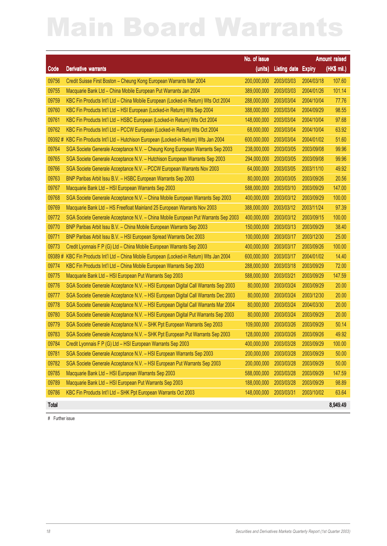|        |                                                                                    | No. of issue           |                     |               | Amount raised |
|--------|------------------------------------------------------------------------------------|------------------------|---------------------|---------------|---------------|
| Code   | <b>Derivative warrants</b>                                                         | (units)                | <b>Listing date</b> | <b>Expiry</b> | (HK\$ mil.)   |
| 09756  | Credit Suisse First Boston - Cheung Kong European Warrants Mar 2004                | 200,000,000            | 2003/03/03          | 2004/03/18    | 107.60        |
| 09755  | Macquarie Bank Ltd - China Mobile European Put Warrants Jan 2004                   | 389,000,000            | 2003/03/03          | 2004/01/26    | 101.14        |
| 09759  | KBC Fin Products Int'l Ltd - China Mobile European (Locked-in Return) Wts Oct 2004 | 288,000,000            | 2003/03/04          | 2004/10/04    | 77.76         |
| 09760  | KBC Fin Products Int'l Ltd - HSI European (Locked-in Return) Wts Sep 2004          | 388,000,000            | 2003/03/04          | 2004/09/29    | 98.55         |
| 09761  | KBC Fin Products Int'l Ltd - HSBC European (Locked-in Return) Wts Oct 2004         | 148,000,000            | 2003/03/04          | 2004/10/04    | 97.68         |
| 09762  | KBC Fin Products Int'l Ltd - PCCW European (Locked-in Return) Wts Oct 2004         | 68,000,000             | 2003/03/04          | 2004/10/04    | 63.92         |
| 09392# | KBC Fin Products Int'l Ltd - Hutchison European (Locked-in Return) Wts Jan 2004    | 600,000,000            | 2003/03/04          | 2004/01/02    | 51.60         |
| 09764  | SGA Societe Generale Acceptance N.V. - Cheung Kong European Warrants Sep 2003      | 238,000,000            | 2003/03/05          | 2003/09/08    | 99.96         |
| 09765  | SGA Societe Generale Acceptance N.V. - Hutchison European Warrants Sep 2003        | 294,000,000            | 2003/03/05          | 2003/09/08    | 99.96         |
| 09766  | SGA Societe Generale Acceptance N.V. - PCCW European Warrants Nov 2003             | 64,000,000             | 2003/03/05          | 2003/11/10    | 49.92         |
| 09763  | BNP Paribas Arbit Issu B.V. - HSBC European Warrants Sep 2003                      | 80,000,000             | 2003/03/05          | 2003/09/26    | 20.56         |
| 09767  | Macquarie Bank Ltd - HSI European Warrants Sep 2003                                | 588,000,000            | 2003/03/10          | 2003/09/29    | 147.00        |
| 09768  | SGA Societe Generale Acceptance N.V. - China Mobile European Warrants Sep 2003     | 400,000,000            | 2003/03/12          | 2003/09/29    | 100.00        |
| 09769  | Macquarie Bank Ltd - HS Freefloat Mainland 25 European Warrants Nov 2003           | 388,000,000            | 2003/03/12          | 2003/11/24    | 97.39         |
| 09772  | SGA Societe Generale Acceptance N.V. - China Mobile European Put Warrants Sep 2003 | 400,000,000            | 2003/03/12          | 2003/09/15    | 100.00        |
| 09770  | BNP Paribas Arbit Issu B.V. - China Mobile European Warrants Sep 2003              | 150,000,000            | 2003/03/13          | 2003/09/29    | 38.40         |
| 09771  | BNP Paribas Arbit Issu B.V. - HSI European Spread Warrants Dec 2003                | 100,000,000            | 2003/03/17          | 2003/12/30    | 25.00         |
| 09773  | Credit Lyonnais F P (G) Ltd - China Mobile European Warrants Sep 2003              | 400,000,000            | 2003/03/17          | 2003/09/26    | 100.00        |
| 09389# | KBC Fin Products Int'l Ltd - China Mobile European (Locked-in Return) Wts Jan 2004 | 600,000,000            | 2003/03/17          | 2004/01/02    | 14.40         |
| 09774  | KBC Fin Products Int'l Ltd - China Mobile European Warrants Sep 2003               | 288,000,000            | 2003/03/18          | 2003/09/29    | 72.00         |
| 09775  | Macquarie Bank Ltd - HSI European Put Warrants Sep 2003                            | 588,000,000            | 2003/03/21          | 2003/09/29    | 147.59        |
| 09776  | SGA Societe Generale Acceptance N.V. - HSI European Digital Call Warrants Sep 2003 | 80,000,000             | 2003/03/24          | 2003/09/29    | 20.00         |
| 09777  | SGA Societe Generale Acceptance N.V. - HSI European Digital Call Warrants Dec 2003 | 80,000,000             | 2003/03/24          | 2003/12/30    | 20.00         |
| 09778  | SGA Societe Generale Acceptance N.V. - HSI European Digital Call Warrants Mar 2004 | 80,000,000             | 2003/03/24          | 2004/03/30    | 20.00         |
| 09780  | SGA Societe Generale Acceptance N.V. - HSI European Digital Put Warrants Sep 2003  | 80,000,000             | 2003/03/24          | 2003/09/29    | 20.00         |
| 09779  | SGA Societe Generale Acceptance N.V. - SHK Ppt European Warrants Sep 2003          | 109,000,000            | 2003/03/26          | 2003/09/29    | 50.14         |
| 09783  | SGA Societe Generale Acceptance N.V. - SHK Ppt European Put Warrants Sep 2003      | 128,000,000            | 2003/03/26          | 2003/09/26    | 49.92         |
| 09784  | Credit Lyonnais F P (G) Ltd - HSI European Warrants Sep 2003                       | 400,000,000 2003/03/28 |                     | 2003/09/29    | 100.00        |
| 09781  | SGA Societe Generale Acceptance N.V. - HSI European Warrants Sep 2003              | 200,000,000            | 2003/03/28          | 2003/09/29    | 50.00         |
| 09782  | SGA Societe Generale Acceptance N.V. - HSI European Put Warrants Sep 2003          | 200,000,000            | 2003/03/28          | 2003/09/29    | 50.00         |
| 09785  | Macquarie Bank Ltd - HSI European Warrants Sep 2003                                | 588,000,000            | 2003/03/28          | 2003/09/29    | 147.59        |
| 09789  | Macquarie Bank Ltd - HSI European Put Warrants Sep 2003                            | 188,000,000            | 2003/03/28          | 2003/09/29    | 98.89         |
| 09786  | KBC Fin Products Int'l Ltd - SHK Ppt European Warrants Oct 2003                    | 148,000,000            | 2003/03/31          | 2003/10/02    | 63.64         |
|        |                                                                                    |                        |                     |               |               |

Total 8,949.49

# Further issue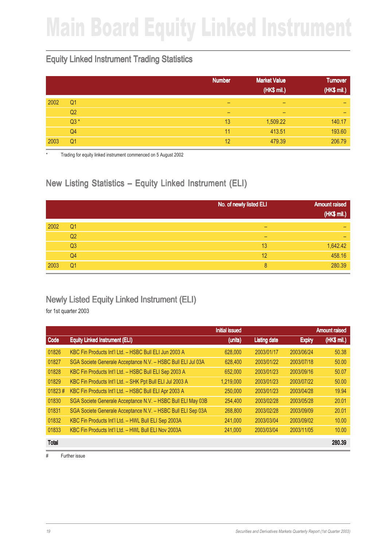## Main Board Equity Linked Instrument

### Equity Linked Instrument Trading Statistics

|      |                | <b>Number</b> | <b>Market Value</b><br>(HK\$ mil.) | <b>Turnover</b><br>(HK\$ mil.) |
|------|----------------|---------------|------------------------------------|--------------------------------|
| 2002 | Q <sub>1</sub> | -             | -                                  | -                              |
|      | Q <sub>2</sub> | -             | -                                  | -                              |
|      | $Q3*$          | 13            | 1,509.22                           | 140.17                         |
|      | Q4             | 11            | 413.51                             | 193.60                         |
| 2003 | Q <sub>1</sub> | 12            | 479.39                             | 206.79                         |

Trading for equity linked instrument commenced on 5 August 2002

### New Listing Statistics – Equity Linked Instrument (ELI)

|      |                | No. of newly listed ELI | <b>Amount raised</b> |
|------|----------------|-------------------------|----------------------|
|      |                |                         | (HK\$ mil.)          |
| 2002 | Q <sub>1</sub> | -                       | -                    |
|      | Q <sub>2</sub> | -                       | -                    |
|      | Q <sub>3</sub> | 13                      | 1,642.42             |
|      | Q <sub>4</sub> | 12                      | 458.16               |
| 2003 | Q <sub>1</sub> | 8                       | 280.39               |

#### Newly Listed Equity Linked Instrument (ELI)

for 1st quarter 2003

|              |                                                              | <b>Initial issued</b> |                     |               | <b>Amount raised</b> |
|--------------|--------------------------------------------------------------|-----------------------|---------------------|---------------|----------------------|
| Code         | <b>Equity Linked Instrument (ELI)</b>                        | (units)               | <b>Listing date</b> | <b>Expiry</b> | (HK\$ mil.)          |
| 01826        | KBC Fin Products Int'l Ltd. - HSBC Bull ELI Jun 2003 A       | 628,000               | 2003/01/17          | 2003/06/24    | 50.38                |
| 01827        | SGA Societe Generale Acceptance N.V. - HSBC Bull ELI Jul 03A | 628,400               | 2003/01/22          | 2003/07/18    | 50.00                |
| 01828        | KBC Fin Products Int'l Ltd. - HSBC Bull ELI Sep 2003 A       | 652,000               | 2003/01/23          | 2003/09/16    | 50.07                |
| 01829        | KBC Fin Products Int'l Ltd. - SHK Ppt Bull ELI Jul 2003 A    | 1.219.000             | 2003/01/23          | 2003/07/22    | 50.00                |
| 01823#       | KBC Fin Products Int'l Ltd. - HSBC Bull ELI Apr 2003 A       | 250,000               | 2003/01/23          | 2003/04/28    | 19.94                |
| 01830        | SGA Societe Generale Acceptance N.V. - HSBC Bull ELI May 03B | 254,400               | 2003/02/28          | 2003/05/28    | 20.01                |
| 01831        | SGA Societe Generale Acceptance N.V. - HSBC Bull ELI Sep 03A | 268,800               | 2003/02/28          | 2003/09/09    | 20.01                |
| 01832        | KBC Fin Products Int'l Ltd. - HWL Bull ELI Sep 2003A         | 241,000               | 2003/03/04          | 2003/09/02    | 10.00                |
| 01833        | KBC Fin Products Int'l Ltd. - HWL Bull ELI Nov 2003A         | 241,000               | 2003/03/04          | 2003/11/05    | 10.00                |
| <b>Total</b> |                                                              |                       |                     |               | 280.39               |

# Further issue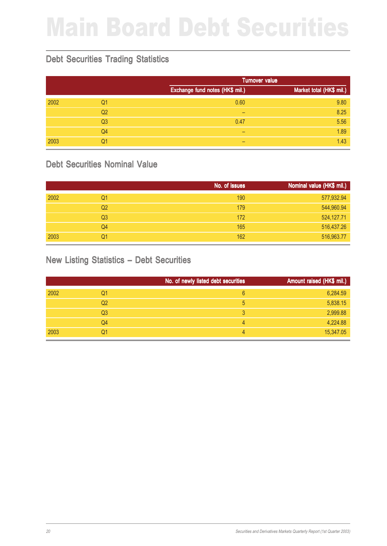# Main Board Debt Securities

#### Debt Securities Trading Statistics

|      |                |                                 | <b>Turnover value</b>    |  |
|------|----------------|---------------------------------|--------------------------|--|
|      |                | Exchange fund notes (HK\$ mil.) | Market total (HK\$ mil.) |  |
| 2002 | Q <sub>1</sub> | 0.60                            | 9.80                     |  |
|      | Q <sub>2</sub> | -                               | 8.25                     |  |
|      | Q3             | 0.47                            | 5.56                     |  |
|      | Q <sub>4</sub> | -                               | 1.89                     |  |
| 2003 | Q1             | -                               | 1.43                     |  |

#### Debt Securities Nominal Value

|      |                | No. of issues | Nominal value (HK\$ mil.) |
|------|----------------|---------------|---------------------------|
| 2002 | Q1             | 190           | 577,932.94                |
|      | Q <sub>2</sub> | 179           | 544,960.94                |
|      | Q <sub>3</sub> | 172           | 524,127.71                |
|      | Q4             | 165           | 516,437.26                |
| 2003 | Q1             | 162           | 516,963.77                |

### New Listing Statistics – Debt Securities

|                | No. of newly listed debt securities | Amount raised (HK\$ mil.) |
|----------------|-------------------------------------|---------------------------|
| 2002<br>Q1     | 6                                   | 6,284.59                  |
| Q <sub>2</sub> | 5                                   | 5,838.15                  |
| Q <sub>3</sub> |                                     | 2,999.88                  |
| Q4             | 4                                   | 4,224.88                  |
| 2003<br>Q1     | 4                                   | 15,347.05                 |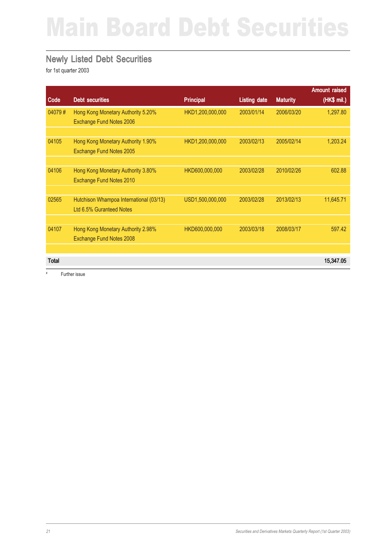## Main Board Debt Securities

#### Newly Listed Debt Securities

for 1st quarter 2003

|                                         |                                                                                                                        |                     |                 | <b>Amount raised</b> |
|-----------------------------------------|------------------------------------------------------------------------------------------------------------------------|---------------------|-----------------|----------------------|
| <b>Debt securities</b>                  | <b>Principal</b>                                                                                                       | <b>Listing date</b> | <b>Maturity</b> | (HK\$ mil.)          |
| Hong Kong Monetary Authority 5.20%      | HKD1,200,000,000                                                                                                       | 2003/01/14          | 2006/03/20      | 1,297.80             |
| Exchange Fund Notes 2006                |                                                                                                                        |                     |                 |                      |
|                                         |                                                                                                                        |                     |                 |                      |
| Hong Kong Monetary Authority 1.90%      | HKD1,200,000,000                                                                                                       | 2003/02/13          | 2005/02/14      | 1,203.24             |
| Exchange Fund Notes 2005                |                                                                                                                        |                     |                 |                      |
|                                         |                                                                                                                        |                     |                 |                      |
| Hong Kong Monetary Authority 3.80%      | HKD600,000,000                                                                                                         | 2003/02/28          | 2010/02/26      | 602.88               |
|                                         |                                                                                                                        |                     |                 |                      |
|                                         |                                                                                                                        |                     |                 |                      |
| Hutchison Whampoa International (03/13) | USD1,500,000,000                                                                                                       | 2003/02/28          | 2013/02/13      | 11,645.71            |
|                                         |                                                                                                                        |                     |                 |                      |
|                                         |                                                                                                                        |                     |                 |                      |
|                                         |                                                                                                                        |                     |                 | 597.42               |
|                                         |                                                                                                                        |                     |                 |                      |
|                                         |                                                                                                                        |                     |                 |                      |
|                                         |                                                                                                                        |                     |                 | 15,347.05            |
|                                         | Exchange Fund Notes 2010<br>Ltd 6.5% Guranteed Notes<br>Hong Kong Monetary Authority 2.98%<br>Exchange Fund Notes 2008 | HKD600,000,000      | 2003/03/18      | 2008/03/17           |

# Further issue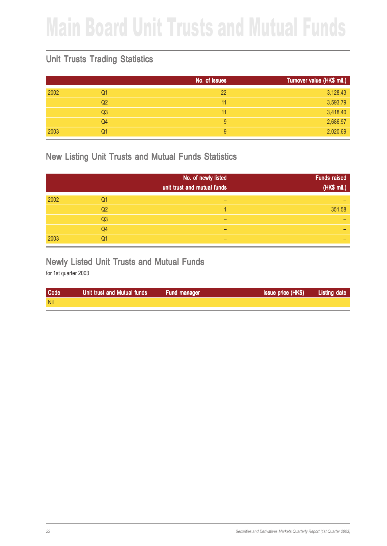## Main Board Unit Trusts and Mutual Funds

### Unit Trusts Trading Statistics

|      |                | No. of issues | Turnover value (HK\$ mil.) |
|------|----------------|---------------|----------------------------|
| 2002 | Q1             | 22            | 3,128.43                   |
|      | Q <sub>2</sub> | 11            | 3,593.79                   |
|      | Q <sub>3</sub> | 11            | 3,418.40                   |
|      | Q4             | 9             | 2,686.97                   |
| 2003 | Q1             | 9             | 2,020.69                   |

#### New Listing Unit Trusts and Mutual Funds Statistics

|      |                | No. of newly listed<br>unit trust and mutual funds | <b>Funds raised</b><br>(HK\$ mil.) |
|------|----------------|----------------------------------------------------|------------------------------------|
| 2002 | Q1             |                                                    |                                    |
|      | Q <sub>2</sub> |                                                    | 351.58                             |
|      | Q <sub>3</sub> |                                                    |                                    |
|      | Q <sub>4</sub> |                                                    |                                    |
| 2003 | Q1             |                                                    |                                    |

#### Newly Listed Unit Trusts and Mutual Funds

| Code       | Unit trust and Mutual funds | Fund manager | <b>Issue price (HK\$)</b> | Listing date |
|------------|-----------------------------|--------------|---------------------------|--------------|
| <b>Nil</b> |                             |              |                           |              |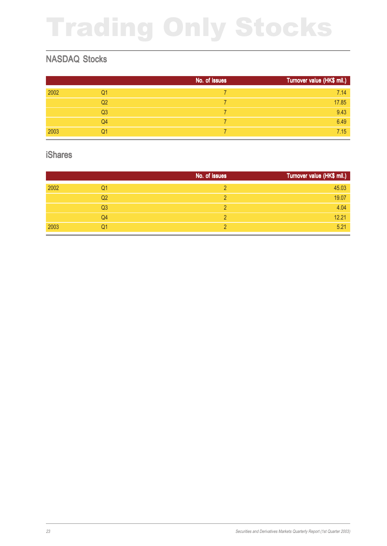# Trading Only Stocks

### NASDAQ Stocks

|      |                | No. of issues | Turnover value (HK\$ mil.) |
|------|----------------|---------------|----------------------------|
| 2002 | Q1             |               | 7.14                       |
|      | Q <sub>2</sub> |               | 17.85                      |
|      | Q <sub>3</sub> |               | 9.43                       |
|      | Q4             |               | 6.49                       |
| 2003 | Q1             |               | 7.15                       |

#### iShares

|      |                | No. of issues | Turnover value (HK\$ mil.) |
|------|----------------|---------------|----------------------------|
| 2002 | Q1             |               | 45.03                      |
|      | Q <sub>2</sub> |               | 19.07                      |
|      | Q <sub>3</sub> | റ             | 4.04                       |
|      | Q4             |               | 12.21                      |
| 2003 | Q1             |               | 5.21                       |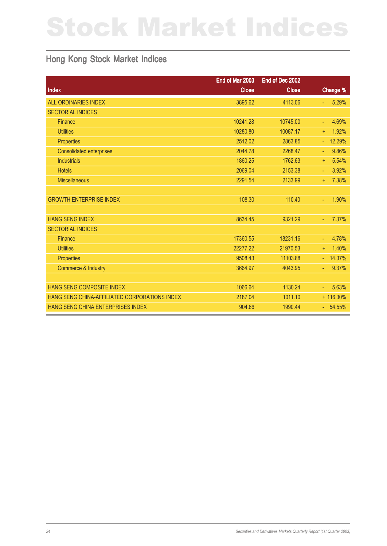# Stock Market Indices

#### Hong Kong Stock Market Indices

|                                               | End of Mar 2003 | End of Dec 2002 |                    |
|-----------------------------------------------|-----------------|-----------------|--------------------|
| Index                                         | <b>Close</b>    | <b>Close</b>    | Change %           |
| <b>ALL ORDINARIES INDEX</b>                   | 3895.62         | 4113.06         | 5.29%<br>÷.        |
| <b>SECTORIAL INDICES</b>                      |                 |                 |                    |
| Finance                                       | 10241.28        | 10745.00        | 4.69%<br>ä,        |
| <b>Utilities</b>                              | 10280.80        | 10087.17        | 1.92%<br>$\ddot{}$ |
| Properties                                    | 2512.02         | 2863.85         | 12.29%<br>÷.       |
| <b>Consolidated enterprises</b>               | 2044.78         | 2268.47         | 9.86%<br>u,        |
| <b>Industrials</b>                            | 1860.25         | 1762.63         | 5.54%<br>$+$       |
| <b>Hotels</b>                                 | 2069.04         | 2153.38         | 3.92%<br>÷.        |
| <b>Miscellaneous</b>                          | 2291.54         | 2133.99         | 7.38%<br>÷.        |
|                                               |                 |                 |                    |
| <b>GROWTH ENTERPRISE INDEX</b>                | 108.30          | 110.40          | 1.90%<br>÷.        |
|                                               |                 |                 |                    |
| <b>HANG SENG INDEX</b>                        | 8634.45         | 9321.29         | 7.37%<br>ä,        |
| <b>SECTORIAL INDICES</b>                      |                 |                 |                    |
| Finance                                       | 17360.55        | 18231.16        | 4.78%<br>ä,        |
| <b>Utilities</b>                              | 22277.22        | 21970.53        | 1.40%<br>÷.        |
| Properties                                    | 9508.43         | 11103.88        | 14.37%<br>ä,       |
| <b>Commerce &amp; Industry</b>                | 3664.97         | 4043.95         | 9.37%<br>÷.        |
|                                               |                 |                 |                    |
| <b>HANG SENG COMPOSITE INDEX</b>              | 1066.64         | 1130.24         | 5.63%<br>÷.        |
| HANG SENG CHINA-AFFILIATED CORPORATIONS INDEX | 2187.04         | 1011.10         | + 116.30%          |
| HANG SENG CHINA ENTERPRISES INDEX             | 904.66          | 1990.44         | $-54.55%$          |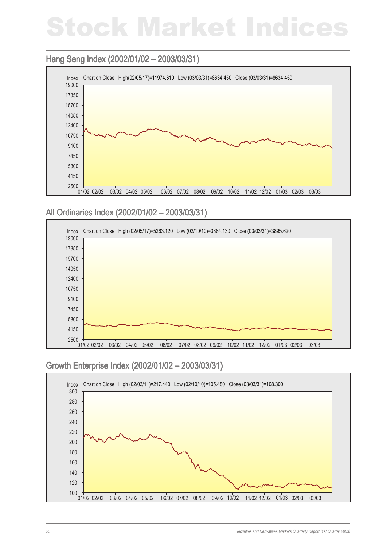## Stock Market Indices

#### Hang Seng Index (2002/01/02 - 2003/03/31)



All Ordinaries Index (2002/01/02 – 2003/03/31) All Ordinaries Index



### Growth Enterprise Index (2002/01/02 – 2003/03/31) Growth Enterprise Index (2002/01/02 –

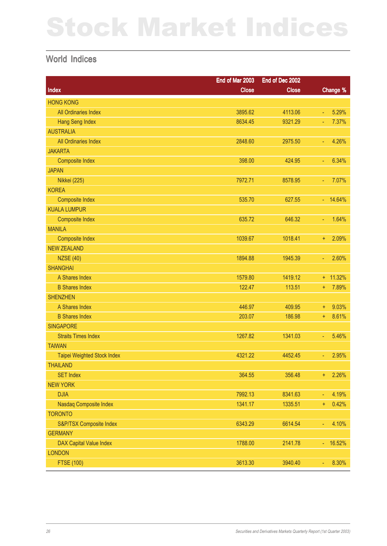# Stock Market Indices

#### World Indices

|                                | End of Mar 2003 | End of Dec 2002 |              |
|--------------------------------|-----------------|-----------------|--------------|
| Index                          | <b>Close</b>    | <b>Close</b>    | Change %     |
| <b>HONG KONG</b>               |                 |                 |              |
| All Ordinaries Index           | 3895.62         | 4113.06         | 5.29%<br>Ξ   |
| <b>Hang Seng Index</b>         | 8634.45         | 9321.29         | 7.37%<br>Ξ   |
| <b>AUSTRALIA</b>               |                 |                 |              |
| All Ordinaries Index           | 2848.60         | 2975.50         | 4.26%<br>Ξ   |
| <b>JAKARTA</b>                 |                 |                 |              |
| <b>Composite Index</b>         | 398.00          | 424.95          | 6.34%<br>Ξ   |
| <b>JAPAN</b>                   |                 |                 |              |
| <b>Nikkei</b> (225)            | 7972.71         | 8578.95         | 7.07%<br>Ξ   |
| <b>KOREA</b>                   |                 |                 |              |
| <b>Composite Index</b>         | 535.70          | 627.55          | $-14.64%$    |
| <b>KUALA LUMPUR</b>            |                 |                 |              |
| <b>Composite Index</b>         | 635.72          | 646.32          | 1.64%<br>Ξ   |
| <b>MANILA</b>                  |                 |                 |              |
| <b>Composite Index</b>         | 1039.67         | 1018.41         | 2.09%<br>÷.  |
| <b>NEW ZEALAND</b>             |                 |                 |              |
| <b>NZSE (40)</b>               | 1894.88         | 1945.39         | 2.60%<br>Ξ   |
| <b>SHANGHAI</b>                |                 |                 |              |
| A Shares Index                 | 1579.80         | 1419.12         | $+ 11.32%$   |
| <b>B</b> Shares Index          | 122.47          | 113.51          | 7.89%<br>÷.  |
| <b>SHENZHEN</b>                |                 |                 |              |
| A Shares Index                 | 446.97          | 409.95          | 9.03%<br>Ŧ   |
| <b>B Shares Index</b>          | 203.07          | 186.98          | 8.61%<br>÷.  |
| <b>SINGAPORE</b>               |                 |                 |              |
| <b>Straits Times Index</b>     | 1267.82         | 1341.03         | 5.46%<br>Ξ   |
| <b>TAIWAN</b>                  |                 |                 |              |
| Taipei Weighted Stock Index    | 4321.22         | 4452.45         | 2.95%<br>Ξ   |
| <b>THAILAND</b>                |                 |                 |              |
| <b>SET Index</b>               | 364.55          | 356.48          | 2.26%<br>÷.  |
| <b>NEW YORK</b>                |                 |                 |              |
| <b>DJIA</b>                    | 7992.13         | 8341.63         | 4.19%<br>٠   |
| Nasdaq Composite Index         | 1341.17         | 1335.51         | 0.42%<br>÷,  |
| <b>TORONTO</b>                 |                 |                 |              |
| S&P/TSX Composite Index        | 6343.29         | 6614.54         | 4.10%<br>Ξ   |
| <b>GERMANY</b>                 |                 |                 |              |
| <b>DAX Capital Value Index</b> | 1788.00         | 2141.78         | 16.52%<br>÷. |
| <b>LONDON</b>                  |                 |                 |              |
| <b>FTSE (100)</b>              | 3613.30         | 3940.40         | 8.30%<br>Ξ   |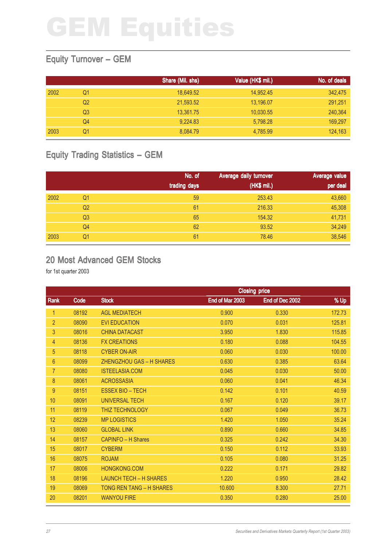### Equity Turnover – GEM

|      |    | Share (Mil. shs) | Value (HK\$ mil.) | No. of deals |
|------|----|------------------|-------------------|--------------|
| 2002 | Q1 | 18.649.52        | 14,952.45         | 342,475      |
|      | Q2 | 21,593.52        | 13,196.07         | 291,251      |
|      | Q3 | 13,361.75        | 10,030.55         | 240,364      |
|      | Q4 | 9.224.83         | 5,798.28          | 169,297      |
| 2003 | Ο1 | 8,084.79         | 4.785.99          | 124,163      |

### Equity Trading Statistics – GEM

|      |                | No. of<br>trading days | Average daily turnover<br>(HK\$ mil.) | Average value<br>per deal |
|------|----------------|------------------------|---------------------------------------|---------------------------|
| 2002 | Q <sub>1</sub> | 59                     | 253.43                                | 43,660                    |
|      | Q <sub>2</sub> | 61                     | 216.33                                | 45,308                    |
|      | Q <sub>3</sub> | 65                     | 154.32                                | 41,731                    |
|      | Q4             | 62                     | 93.52                                 | 34,249                    |
| 2003 | Q1             | 61                     | 78.46                                 | 38,546                    |

#### 20 Most Advanced GEM Stocks

|                |       |                                 |                 | <b>Closing price</b> |        |
|----------------|-------|---------------------------------|-----------------|----------------------|--------|
| Rank           | Code  | <b>Stock</b>                    | End of Mar 2003 | End of Dec 2002      | % Up   |
| 1              | 08192 | <b>AGL MEDIATECH</b>            | 0.900           | 0.330                | 172.73 |
| $\overline{2}$ | 08090 | <b>EVI EDUCATION</b>            | 0.070           | 0.031                | 125.81 |
| 3              | 08016 | <b>CHINA DATACAST</b>           | 3.950           | 1.830                | 115.85 |
| 4              | 08136 | <b>FX CREATIONS</b>             | 0.180           | 0.088                | 104.55 |
| 5              | 08118 | <b>CYBER ON-AIR</b>             | 0.060           | 0.030                | 100.00 |
| $6\phantom{1}$ | 08099 | <b>ZHENGZHOU GAS - H SHARES</b> | 0.630           | 0.385                | 63.64  |
| $\overline{7}$ | 08080 | <b>ISTEELASIA.COM</b>           | 0.045           | 0.030                | 50.00  |
| 8              | 08061 | <b>ACROSSASIA</b>               | 0.060           | 0.041                | 46.34  |
| 9              | 08151 | <b>ESSEX BIO - TECH</b>         | 0.142           | 0.101                | 40.59  |
| 10             | 08091 | <b>UNIVERSAL TECH</b>           | 0.167           | 0.120                | 39.17  |
| 11             | 08119 | THIZ TECHNOLOGY                 | 0.067           | 0.049                | 36.73  |
| 12             | 08239 | <b>MP LOGISTICS</b>             | 1.420           | 1.050                | 35.24  |
| 13             | 08060 | <b>GLOBAL LINK</b>              | 0.890           | 0.660                | 34.85  |
| 14             | 08157 | CAPINFO - H Shares              | 0.325           | 0.242                | 34.30  |
| 15             | 08017 | <b>CYBERM</b>                   | 0.150           | 0.112                | 33.93  |
| 16             | 08075 | <b>ROJAM</b>                    | 0.105           | 0.080                | 31.25  |
| 17             | 08006 | HONGKONG.COM                    | 0.222           | 0.171                | 29.82  |
| 18             | 08196 | <b>LAUNCH TECH - H SHARES</b>   | 1.220           | 0.950                | 28.42  |
| 19             | 08069 | <b>TONG REN TANG - H SHARES</b> | 10.600          | 8.300                | 27.71  |
| 20             | 08201 | <b>WANYOU FIRE</b>              | 0.350           | 0.280                | 25.00  |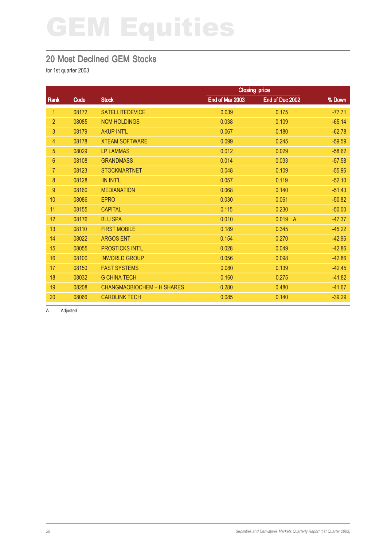### 20 Most Declined GEM Stocks

for 1st quarter 2003

|                |       |                                   |                 | <b>Closing price</b> |          |
|----------------|-------|-----------------------------------|-----------------|----------------------|----------|
| Rank           | Code  | <b>Stock</b>                      | End of Mar 2003 | End of Dec 2002      | % Down   |
| $\mathbf{1}$   | 08172 | <b>SATELLITEDEVICE</b>            | 0.039           | 0.175                | $-77.71$ |
| $\overline{2}$ | 08085 | <b>NCM HOLDINGS</b>               | 0.038           | 0.109                | $-65.14$ |
| 3              | 08179 | <b>AKUP INT'L</b>                 | 0.067           | 0.180                | $-62.78$ |
| $\overline{4}$ | 08178 | <b>XTEAM SOFTWARE</b>             | 0.099           | 0.245                | $-59.59$ |
| 5              | 08029 | <b>LP LAMMAS</b>                  | 0.012           | 0.029                | $-58.62$ |
| $6\phantom{1}$ | 08108 | <b>GRANDMASS</b>                  | 0.014           | 0.033                | $-57.58$ |
| $\overline{7}$ | 08123 | <b>STOCKMARTNET</b>               | 0.048           | 0.109                | $-55.96$ |
| 8              | 08128 | <b>IIN INT'L</b>                  | 0.057           | 0.119                | $-52.10$ |
| 9              | 08160 | <b>MEDIANATION</b>                | 0.068           | 0.140                | $-51.43$ |
| 10             | 08086 | <b>EPRO</b>                       | 0.030           | 0.061                | $-50.82$ |
| 11             | 08155 | <b>CAPITAL</b>                    | 0.115           | 0.230                | $-50.00$ |
| 12             | 08176 | <b>BLU SPA</b>                    | 0.010           | 0.019<br>- A         | $-47.37$ |
| 13             | 08110 | <b>FIRST MOBILE</b>               | 0.189           | 0.345                | $-45.22$ |
| 14             | 08022 | <b>ARGOS ENT</b>                  | 0.154           | 0.270                | $-42.96$ |
| 15             | 08055 | <b>PROSTICKS INT'L</b>            | 0.028           | 0.049                | $-42.86$ |
| 16             | 08100 | <b>INWORLD GROUP</b>              | 0.056           | 0.098                | $-42.86$ |
| 17             | 08150 | <b>FAST SYSTEMS</b>               | 0.080           | 0.139                | $-42.45$ |
| 18             | 08032 | <b>G CHINA TECH</b>               | 0.160           | 0.275                | $-41.82$ |
| 19             | 08208 | <b>CHANGMAOBIOCHEM - H SHARES</b> | 0.280           | 0.480                | $-41.67$ |
| 20             | 08066 | <b>CARDLINK TECH</b>              | 0.085           | 0.140                | $-39.29$ |

A Adjusted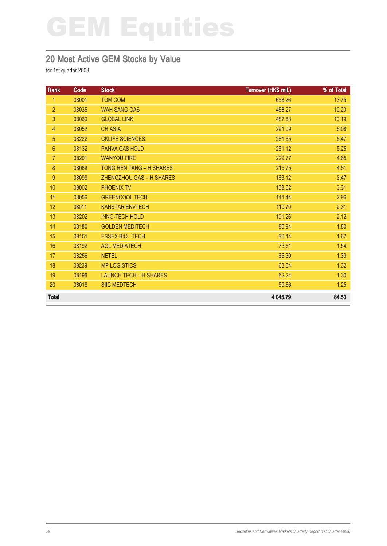### 20 Most Active GEM Stocks by Value

| Rank           | Code  | <b>Stock</b>                    | Turnover (HK\$ mil.) | % of Total |
|----------------|-------|---------------------------------|----------------------|------------|
| $\mathbf{1}$   | 08001 | TOM.COM                         | 658.26               | 13.75      |
| $\overline{2}$ | 08035 | <b>WAH SANG GAS</b>             | 488.27               | 10.20      |
| 3              | 08060 | <b>GLOBAL LINK</b>              | 487.88               | 10.19      |
| $\overline{4}$ | 08052 | <b>CRASIA</b>                   | 291.09               | 6.08       |
| 5              | 08222 | <b>CKLIFE SCIENCES</b>          | 261.65               | 5.47       |
| $6\phantom{1}$ | 08132 | PANVA GAS HOLD                  | 251.12               | 5.25       |
| $\overline{7}$ | 08201 | <b>WANYOU FIRE</b>              | 222.77               | 4.65       |
| 8              | 08069 | <b>TONG REN TANG - H SHARES</b> | 215.75               | 4.51       |
| 9              | 08099 | ZHENGZHOU GAS - H SHARES        | 166.12               | 3.47       |
| 10             | 08002 | <b>PHOENIX TV</b>               | 158.52               | 3.31       |
| 11             | 08056 | <b>GREENCOOL TECH</b>           | 141.44               | 2.96       |
| 12             | 08011 | <b>KANSTAR ENVTECH</b>          | 110.70               | 2.31       |
| 13             | 08202 | <b>INNO-TECH HOLD</b>           | 101.26               | 2.12       |
| 14             | 08180 | <b>GOLDEN MEDITECH</b>          | 85.94                | 1.80       |
| 15             | 08151 | <b>ESSEX BIO-TECH</b>           | 80.14                | 1.67       |
| 16             | 08192 | <b>AGL MEDIATECH</b>            | 73.61                | 1.54       |
| 17             | 08256 | <b>NETEL</b>                    | 66.30                | 1.39       |
| 18             | 08239 | <b>MP LOGISTICS</b>             | 63.04                | 1.32       |
| 19             | 08196 | <b>LAUNCH TECH - H SHARES</b>   | 62.24                | 1.30       |
| 20             | 08018 | <b>SIIC MEDTECH</b>             | 59.66                | 1.25       |
| <b>Total</b>   |       |                                 | 4,045.79             | 84.53      |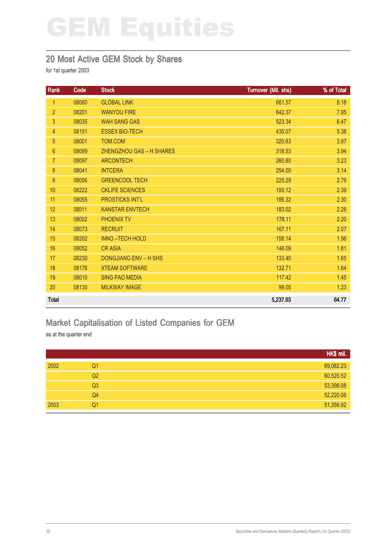#### 20 Most Active GEM Stock by Shares

for 1st quarter 2003

| <b>Rank</b>    | Code  | <b>Stock</b>                 | Turnover (Mil. shs) | % of Total |
|----------------|-------|------------------------------|---------------------|------------|
| $\mathbf{1}$   | 08060 | <b>GLOBAL LINK</b>           | 661.57              | 8.18       |
| $\overline{2}$ | 08201 | <b>WANYOU FIRE</b>           | 642.37              | 7.95       |
| 3              | 08035 | <b>WAH SANG GAS</b>          | 523.34              | 6.47       |
| $\overline{4}$ | 08151 | <b>ESSEX BIO-TECH</b>        | 435.07              | 5.38       |
| 5              | 08001 | TOM.COM                      | 320.63              | 3.97       |
| $6\phantom{a}$ | 08099 | ZHENGZHOU GAS - H SHARES     | 318.53              | 3.94       |
| $\overline{7}$ | 08097 | <b>ARCONTECH</b>             | 260.80              | 3.23       |
| 8              | 08041 | <b>INTCERA</b>               | 254.00              | 3.14       |
| 9              | 08056 | <b>GREENCOOL TECH</b>        | 225.29              | 2.79       |
| 10             | 08222 | <b>CKLIFE SCIENCES</b>       | 193.12              | 2.39       |
| 11             | 08055 | <b>PROSTICKS INT'L</b>       | 186.32              | 2.30       |
| 12             | 08011 | <b>KANSTAR ENVTECH</b>       | 183.02              | 2.26       |
| 13             | 08002 | <b>PHOENIX TV</b>            | 178.11              | 2.20       |
| 14             | 08073 | <b>RECRUIT</b>               | 167.11              | 2.07       |
| 15             | 08202 | <b>INNO-TECH HOLD</b>        | 158.14              | 1.96       |
| 16             | 08052 | <b>CRASIA</b>                | 146.09              | 1.81       |
| 17             | 08230 | <b>DONGJIANG ENV - H SHS</b> | 133.40              | 1.65       |
| 18             | 08178 | <b>XTEAM SOFTWARE</b>        | 132.71              | 1.64       |
| 19             | 08010 | <b>SING PAO MEDIA</b>        | 117.42              | 1.45       |
| 20             | 08130 | <b>MILKWAY IMAGE</b>         | 99.05               | 1.23       |
| <b>Total</b>   |       |                              | 5,237.03            | 64.77      |

### Market Capitalisation of Listed Companies for GEM

as at the quarter end

|      |                | HK\$ mil. |
|------|----------------|-----------|
| 2002 | Q <sub>1</sub> | 69,082.23 |
|      | Q <sub>2</sub> | 60,520.52 |
|      | Q3             | 53,398.08 |
|      | Q4             | 52,220.06 |
| 2003 | Q <sub>1</sub> | 51,356.92 |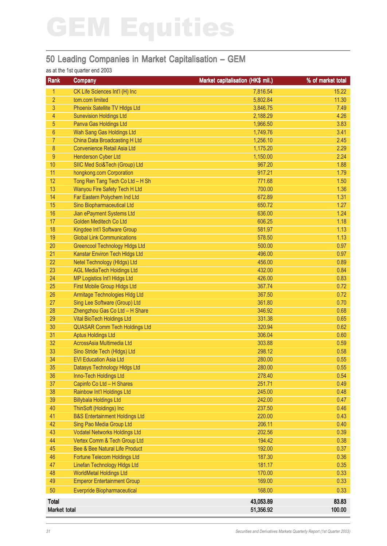### 50 Leading Companies in Market Capitalisation – GEM

#### as at the 1st quarter end 2003

| Rank            | <b>Company</b>                            | Market capitalisation (HK\$ mil.) | % of market total |
|-----------------|-------------------------------------------|-----------------------------------|-------------------|
| 1               | CK Life Sciences Int'l (H) Inc            | 7,816.54                          | 15.22             |
| $\overline{2}$  | tom.com limited                           | 5,802.84                          | 11.30             |
| $\overline{3}$  | Phoenix Satellite TV Hldgs Ltd            | 3,846.75                          | 7.49              |
| 4               | <b>Sunevision Holdings Ltd</b>            | 2,188.29                          | 4.26              |
| 5               | Panva Gas Holdings Ltd                    | 1,966.50                          | 3.83              |
| $6\phantom{1}$  | Wah Sang Gas Holdings Ltd                 | 1,749.76                          | 3.41              |
| $\overline{7}$  | China Data Broadcasting H Ltd             | 1,256.10                          | 2.45              |
| $\bf 8$         | <b>Convenience Retail Asia Ltd</b>        | 1,175.20                          | 2.29              |
| 9               | <b>Henderson Cyber Ltd</b>                | 1,150.00                          | 2.24              |
| 10              | SIIC Med Sci&Tech (Group) Ltd             | 967.20                            | 1.88              |
| 11              | hongkong.com Corporation                  | 917.21                            | 1.79              |
| 12              | Tong Ren Tang Tech Co Ltd - H Sh          | 771.68                            | 1.50              |
| 13              | Wanyou Fire Safety Tech H Ltd             | 700.00                            | 1.36              |
| 14              | Far Eastern Polychem Ind Ltd              | 672.89                            | 1.31              |
| 15              | Sino Biopharmaceutical Ltd                | 650.72                            | 1.27              |
| 16              | Jian ePayment Systems Ltd                 | 636.00                            | 1.24              |
| 17              | Golden Meditech Co Ltd                    | 606.25                            | 1.18              |
| 18              | Kingdee Int'l Software Group              | 581.97                            | 1.13              |
| 19              | <b>Global Link Communications</b>         | 578.50                            | 1.13              |
| 20              | <b>Greencool Technology Hidgs Ltd</b>     | 500.00                            | 0.97              |
| 21              | Kanstar Environ Tech Hldgs Ltd            | 496.00                            | 0.97              |
| 22              | Netel Technology (HIdgs) Ltd              | 456.00                            | 0.89              |
| 23              | <b>AGL MediaTech Holdings Ltd</b>         | 432.00                            | 0.84              |
| 24              | MP Logistics Int'l HIdgs Ltd              | 426.00                            | 0.83              |
| 25              | <b>First Mobile Group HIdgs Ltd</b>       | 367.74                            | 0.72              |
| 26              | Armitage Technologies HIdg Ltd            | 367.50                            | 0.72              |
| 27              | Sing Lee Software (Group) Ltd             | 361.80                            | 0.70              |
| 28              | Zhengzhou Gas Co Ltd - H Share            | 346.92                            | 0.68              |
| 29              | <b>Vital BioTech Holdings Ltd</b>         | 331.38                            | 0.65              |
| 30 <sup>°</sup> | <b>QUASAR Comm Tech Holdings Ltd</b>      | 320.94                            | 0.62              |
| 31              | <b>Aptus Holdings Ltd</b>                 | 306.04                            | 0.60              |
| 32              | AcrossAsia Multimedia Ltd                 | 303.88                            | 0.59              |
| 33              | Sino Stride Tech (Hldgs) Ltd              | 298.12                            | 0.58              |
| 34              | <b>EVI Education Asia Ltd</b>             | 280.00                            | 0.55              |
| 35              | Datasys Technology Hidgs Ltd              | 280.00                            | 0.55              |
| 36              | Inno-Tech Holdings Ltd                    | 278.40                            | 0.54              |
| 37              | Capinfo Co Ltd - H Shares                 | 251.71                            | 0.49              |
| 38              | Rainbow Int'l Holdings Ltd                | 245.00                            | 0.48              |
| 39              | <b>Billybala Holdings Ltd</b>             | 242.00                            | 0.47              |
| 40              | ThinSoft (Holdings) Inc                   | 237.50                            | 0.46              |
| 41              | <b>B&amp;S Entertainment Holdings Ltd</b> | 220.00                            | 0.43              |
| 42              | Sing Pao Media Group Ltd                  | 206.11                            | 0.40              |
| 43              | <b>Vodatel Networks Holdings Ltd</b>      | 202.56                            | 0.39              |
| 44              | Vertex Comm & Tech Group Ltd              | 194.42                            | 0.38              |
| 45              | Bee & Bee Natural Life Product            | 192.00                            | 0.37              |
| 46              | Fortune Telecom Holdings Ltd              | 187.30                            | 0.36              |
| 47              | Linefan Technology Hldgs Ltd              | 181.17                            | 0.35              |
| 48              | <b>WorldMetal Holdings Ltd</b>            | 170.00                            | 0.33              |
| 49              | <b>Emperor Entertainment Group</b>        | 169.00                            | 0.33              |
| 50              | <b>Everpride Biopharmaceutical</b>        | 168.00                            | 0.33              |
| <b>Total</b>    |                                           | 43,053.89                         | 83.83             |
| Market total    |                                           | 51,356.92                         | 100.00            |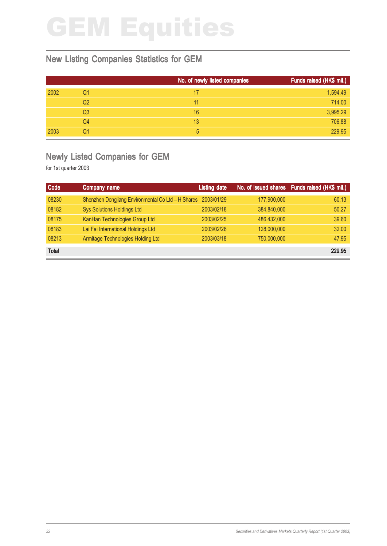### New Listing Companies Statistics for GEM

|      |                | No. of newly listed companies | Funds raised (HK\$ mil.) |
|------|----------------|-------------------------------|--------------------------|
| 2002 | Q1             | 17                            | 1,594.49                 |
|      | Q2             | 11                            | 714.00                   |
|      | Q <sub>3</sub> | 16                            | 3,995.29                 |
|      | Q4             | 13                            | 706.88                   |
| 2003 | Q1             | 5                             | 229.95                   |

### Newly Listed Companies for GEM

| Code         | Company name                                                  | <b>Listing date</b> |             | No. of issued shares Funds raised (HK\$ mil.) |
|--------------|---------------------------------------------------------------|---------------------|-------------|-----------------------------------------------|
| 08230        | Shenzhen Dongjiang Environmental Co Ltd - H Shares 2003/01/29 |                     | 177,900,000 | 60.13                                         |
| 08182        | <b>Sys Solutions Holdings Ltd</b>                             | 2003/02/18          | 384,840,000 | 50.27                                         |
| 08175        | KanHan Technologies Group Ltd                                 | 2003/02/25          | 486,432,000 | 39.60                                         |
| 08183        | Lai Fai International Holdings Ltd                            | 2003/02/26          | 128,000,000 | 32.00                                         |
| 08213        | Armitage Technologies Holding Ltd                             | 2003/03/18          | 750,000,000 | 47.95                                         |
| <b>Total</b> |                                                               |                     |             | 229.95                                        |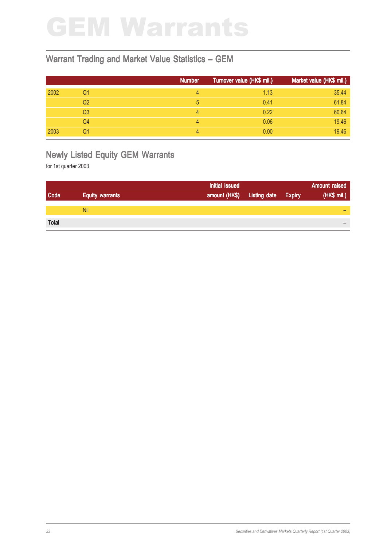## GEM Warrants

#### Warrant Trading and Market Value Statistics – GEM

|      |                | <b>Number</b> | Turnover value (HK\$ mil.) | Market value (HK\$ mil.) |
|------|----------------|---------------|----------------------------|--------------------------|
| 2002 | Q1             | 4             | 1.13                       | 35.44                    |
|      | Q <sub>2</sub> | 5             | 0.41                       | 61.84                    |
|      | Q <sub>3</sub> | 4             | 0.22                       | 60.64                    |
|      | Q4             | 4             | 0.06                       | 19.46                    |
| 2003 | Q1             | 4             | 0.00                       | 19.46                    |

### Newly Listed Equity GEM Warrants

|                        | Initial issued |                     |               | <b>Amount raised</b> |
|------------------------|----------------|---------------------|---------------|----------------------|
| <b>Equity warrants</b> | amount (HK\$)  | <b>Listing date</b> | <b>Expiry</b> | (HK\$ mil.)          |
|                        |                |                     |               |                      |
| <b>Nil</b>             |                |                     |               | -                    |
|                        |                |                     |               |                      |
|                        |                |                     |               | $\qquad \qquad$      |
|                        |                |                     |               |                      |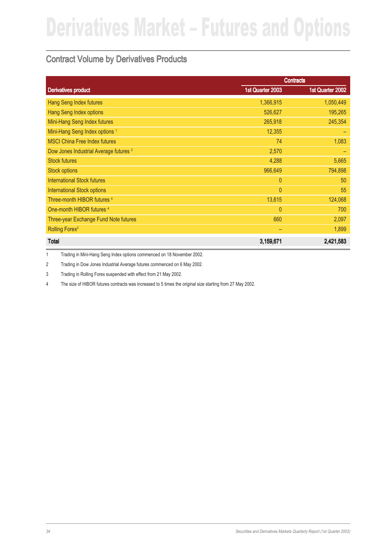### Contract Volume by Derivatives Products

|                                                   |                  | <b>Contracts</b> |
|---------------------------------------------------|------------------|------------------|
| <b>Derivatives product</b>                        | 1st Quarter 2003 | 1st Quarter 2002 |
| <b>Hang Seng Index futures</b>                    | 1,366,915        | 1,050,449        |
| <b>Hang Seng Index options</b>                    | 526,627          | 195,265          |
| Mini-Hang Seng Index futures                      | 265,918          | 245,354          |
| Mini-Hang Seng Index options <sup>1</sup>         | 12,355           |                  |
| <b>MSCI China Free Index futures</b>              | 74               | 1,083            |
| Dow Jones Industrial Average futures <sup>2</sup> | 2,570            |                  |
| <b>Stock futures</b>                              | 4,288            | 5,665            |
| <b>Stock options</b>                              | 966,649          | 794,898          |
| <b>International Stock futures</b>                | $\overline{0}$   | 50               |
| <b>International Stock options</b>                | $\theta$         | 55               |
| Three-month HIBOR futures <sup>4</sup>            | 13,615           | 124,068          |
| One-month HIBOR futures <sup>4</sup>              | $\overline{0}$   | 700              |
| Three-year Exchange Fund Note futures             | 660              | 2,097            |
| Rolling Forex <sup>3</sup>                        | -                | 1,899            |
| <b>Total</b>                                      | 3,159,671        | 2,421,583        |

1 Trading in Mini-Hang Seng Index options commenced on 18 November 2002.

2 Trading in Dow Jones Industrial Average futures commenced on 6 May 2002.

3 Trading in Rolling Forex suspended with effect from 21 May 2002.

4 The size of HIBOR futures contracts was increased to 5 times the original size starting from 27 May 2002.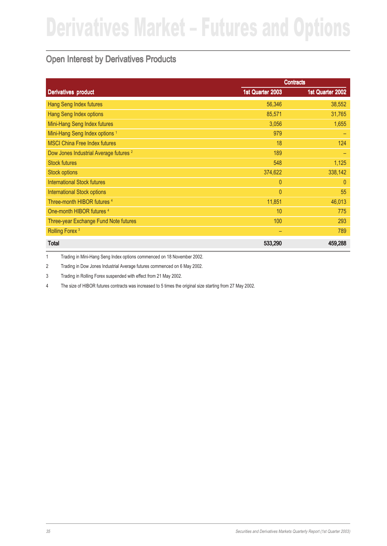### Open Interest by Derivatives Products

|                                                   |                  | <b>Contracts</b> |
|---------------------------------------------------|------------------|------------------|
| <b>Derivatives product</b>                        | 1st Quarter 2003 | 1st Quarter 2002 |
| Hang Seng Index futures                           | 56,346           | 38,552           |
| Hang Seng Index options                           | 85,571           | 31,765           |
| Mini-Hang Seng Index futures                      | 3,056            | 1,655            |
| Mini-Hang Seng Index options <sup>1</sup>         | 979              |                  |
| <b>MSCI China Free Index futures</b>              | 18               | 124              |
| Dow Jones Industrial Average futures <sup>2</sup> | 189              |                  |
| <b>Stock futures</b>                              | 548              | 1,125            |
| <b>Stock options</b>                              | 374,622          | 338,142          |
| <b>International Stock futures</b>                | $\theta$         | $\theta$         |
| <b>International Stock options</b>                | $\overline{0}$   | 55               |
| Three-month HIBOR futures 4                       | 11,851           | 46,013           |
| One-month HIBOR futures <sup>4</sup>              | 10               | 775              |
| Three-year Exchange Fund Note futures             | 100              | 293              |
| Rolling Forex <sup>3</sup>                        |                  | 789              |
| <b>Total</b>                                      | 533,290          | 459,288          |

1 Trading in Mini-Hang Seng Index options commenced on 18 November 2002.

2 Trading in Dow Jones Industrial Average futures commenced on 6 May 2002.

3 Trading in Rolling Forex suspended with effect from 21 May 2002.

4 The size of HIBOR futures contracts was increased to 5 times the original size starting from 27 May 2002.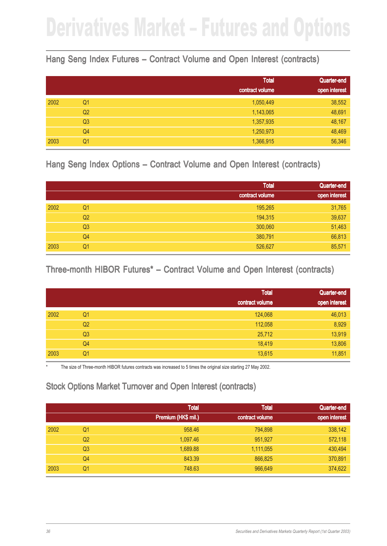### Hang Seng Index Futures – Contract Volume and Open Interest (contracts)

|      |                | <b>Total</b>    | Quarter-end   |
|------|----------------|-----------------|---------------|
|      |                | contract volume | open interest |
| 2002 | Q <sub>1</sub> | 1,050,449       | 38,552        |
|      | Q <sub>2</sub> | 1,143,065       | 48,691        |
|      | Q <sub>3</sub> | 1,357,935       | 48,167        |
|      | Q4             | 1,250,973       | 48,469        |
| 2003 | Q1             | 1,366,915       | 56,346        |

#### Hang Seng Index Options – Contract Volume and Open Interest (contracts)

|      |                | <b>Total</b>    | Quarter-end   |
|------|----------------|-----------------|---------------|
|      |                | contract volume | open interest |
| 2002 | Q1             | 195,265         | 31,765        |
|      | Q <sub>2</sub> | 194,315         | 39,637        |
|      | Q <sub>3</sub> | 300,060         | 51,463        |
|      | Q4             | 380,791         | 66,813        |
| 2003 | Q1             | 526,627         | 85,571        |

#### Three-month HIBOR Futures<sup>\*</sup> – Contract Volume and Open Interest (contracts)

|      |                | <b>Total</b>    | Quarter-end   |
|------|----------------|-----------------|---------------|
|      |                | contract volume | open interest |
| 2002 | Q1             | 124,068         | 46,013        |
|      | Q <sub>2</sub> | 112,058         | 8,929         |
|      | Q <sub>3</sub> | 25,712          | 13,919        |
|      | Q4             | 18,419          | 13,806        |
| 2003 | Q <sub>1</sub> | 13,615          | 11,851        |

The size of Three-month HIBOR futures contracts was increased to 5 times the original size starting 27 May 2002.

### Stock Options Market Turnover and Open Interest (contracts)

|      |                | <b>Total</b><br>Premium (HK\$ mil.) | <b>Total</b><br>contract volume | Quarter-end<br>open interest |
|------|----------------|-------------------------------------|---------------------------------|------------------------------|
|      |                |                                     |                                 |                              |
| 2002 | Q1             | 958.46                              | 794,898                         | 338,142                      |
|      | Q <sub>2</sub> | 1,097.46                            | 951,927                         | 572,118                      |
|      | Q <sub>3</sub> | 1,689.88                            | 1,111,055                       | 430,494                      |
|      | Q4             | 843.39                              | 866,825                         | 370,891                      |
| 2003 | Q1             | 748.63                              | 966,649                         | 374,622                      |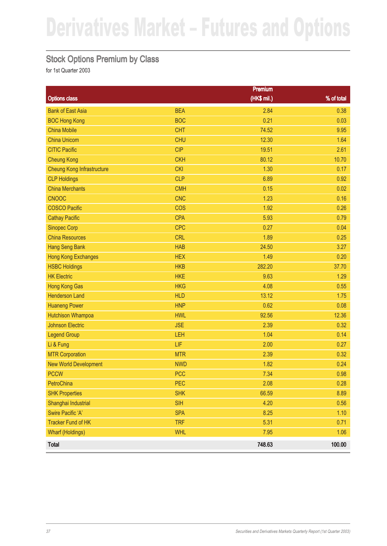### Stock Options Premium by Class

|                                   |            | <b>Premium</b> |            |
|-----------------------------------|------------|----------------|------------|
| <b>Options class</b>              |            | (HK\$ mil.)    | % of total |
| <b>Bank of East Asia</b>          | <b>BEA</b> | 2.84           | 0.38       |
| <b>BOC Hong Kong</b>              | <b>BOC</b> | 0.21           | 0.03       |
| <b>China Mobile</b>               | <b>CHT</b> | 74.52          | 9.95       |
| <b>China Unicom</b>               | <b>CHU</b> | 12.30          | 1.64       |
| <b>CITIC Pacific</b>              | <b>CIP</b> | 19.51          | 2.61       |
| <b>Cheung Kong</b>                | <b>CKH</b> | 80.12          | 10.70      |
| <b>Cheung Kong Infrastructure</b> | <b>CKI</b> | 1.30           | 0.17       |
| <b>CLP Holdings</b>               | <b>CLP</b> | 6.89           | 0.92       |
| <b>China Merchants</b>            | <b>CMH</b> | 0.15           | 0.02       |
| <b>CNOOC</b>                      | <b>CNC</b> | 1.23           | 0.16       |
| <b>COSCO Pacific</b>              | <b>COS</b> | 1.92           | 0.26       |
| <b>Cathay Pacific</b>             | <b>CPA</b> | 5.93           | 0.79       |
| <b>Sinopec Corp</b>               | <b>CPC</b> | 0.27           | 0.04       |
| <b>China Resources</b>            | <b>CRL</b> | 1.89           | 0.25       |
| <b>Hang Seng Bank</b>             | <b>HAB</b> | 24.50          | 3.27       |
| <b>Hong Kong Exchanges</b>        | <b>HEX</b> | 1.49           | 0.20       |
| <b>HSBC Holdings</b>              | <b>HKB</b> | 282.20         | 37.70      |
| <b>HK Electric</b>                | <b>HKE</b> | 9.63           | 1.29       |
| <b>Hong Kong Gas</b>              | <b>HKG</b> | 4.08           | 0.55       |
| <b>Henderson Land</b>             | <b>HLD</b> | 13.12          | 1.75       |
| <b>Huaneng Power</b>              | <b>HNP</b> | 0.62           | 0.08       |
| <b>Hutchison Whampoa</b>          | <b>HWL</b> | 92.56          | 12.36      |
| <b>Johnson Electric</b>           | <b>JSE</b> | 2.39           | 0.32       |
| <b>Legend Group</b>               | LEH        | 1.04           | 0.14       |
| Li & Fung                         | LIF        | 2.00           | 0.27       |
| <b>MTR Corporation</b>            | <b>MTR</b> | 2.39           | 0.32       |
| <b>New World Development</b>      | <b>NWD</b> | 1.82           | 0.24       |
| <b>PCCW</b>                       | <b>PCC</b> | 7.34           | 0.98       |
| PetroChina                        | PEC        | 2.08           | 0.28       |
| <b>SHK Properties</b>             | <b>SHK</b> | 66.59          | 8.89       |
| Shanghai Industrial               | <b>SIH</b> | 4.20           | 0.56       |
| Swire Pacific 'A'                 | <b>SPA</b> | 8.25           | 1.10       |
| <b>Tracker Fund of HK</b>         | <b>TRF</b> | 5.31           | 0.71       |
| <b>Wharf (Holdings)</b>           | <b>WHL</b> | 7.95           | 1.06       |
| <b>Total</b>                      |            | 748.63         | 100.00     |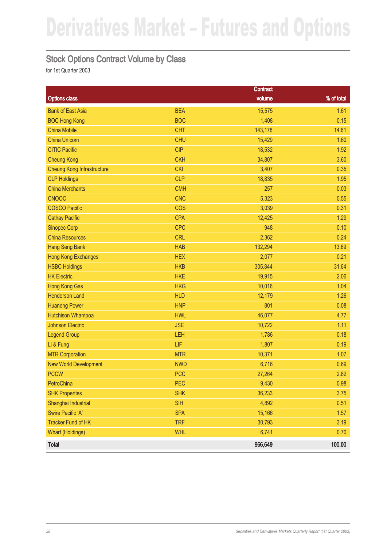#### Stock Options Contract Volume by Class

|                                   |            | <b>Contract</b> |            |
|-----------------------------------|------------|-----------------|------------|
| <b>Options class</b>              |            | volume          | % of total |
| <b>Bank of East Asia</b>          | <b>BEA</b> | 15,575          | 1.61       |
| <b>BOC Hong Kong</b>              | <b>BOC</b> | 1,408           | 0.15       |
| <b>China Mobile</b>               | <b>CHT</b> | 143,178         | 14.81      |
| <b>China Unicom</b>               | <b>CHU</b> | 15,429          | 1.60       |
| <b>CITIC Pacific</b>              | <b>CIP</b> | 18,532          | 1.92       |
| <b>Cheung Kong</b>                | <b>CKH</b> | 34,807          | 3.60       |
| <b>Cheung Kong Infrastructure</b> | <b>CKI</b> | 3,407           | 0.35       |
| <b>CLP Holdings</b>               | <b>CLP</b> | 18,835          | 1.95       |
| <b>China Merchants</b>            | <b>CMH</b> | 257             | 0.03       |
| <b>CNOOC</b>                      | <b>CNC</b> | 5,323           | 0.55       |
| <b>COSCO Pacific</b>              | <b>COS</b> | 3,039           | 0.31       |
| <b>Cathay Pacific</b>             | <b>CPA</b> | 12,425          | 1.29       |
| <b>Sinopec Corp</b>               | <b>CPC</b> | 948             | 0.10       |
| <b>China Resources</b>            | <b>CRL</b> | 2,362           | 0.24       |
| <b>Hang Seng Bank</b>             | <b>HAB</b> | 132,294         | 13.69      |
| <b>Hong Kong Exchanges</b>        | <b>HEX</b> | 2,077           | 0.21       |
| <b>HSBC Holdings</b>              | <b>HKB</b> | 305,844         | 31.64      |
| <b>HK Electric</b>                | <b>HKE</b> | 19,915          | 2.06       |
| <b>Hong Kong Gas</b>              | <b>HKG</b> | 10,016          | 1.04       |
| <b>Henderson Land</b>             | <b>HLD</b> | 12,179          | 1.26       |
| <b>Huaneng Power</b>              | <b>HNP</b> | 801             | 0.08       |
| <b>Hutchison Whampoa</b>          | <b>HWL</b> | 46,077          | 4.77       |
| <b>Johnson Electric</b>           | <b>JSE</b> | 10,722          | 1.11       |
| <b>Legend Group</b>               | LEH        | 1,786           | 0.18       |
| Li & Fung                         | LIF        | 1,807           | 0.19       |
| <b>MTR Corporation</b>            | <b>MTR</b> | 10,371          | 1.07       |
| <b>New World Development</b>      | <b>NWD</b> | 6,716           | 0.69       |
| <b>PCCW</b>                       | <b>PCC</b> | 27,264          | 2.82       |
| PetroChina                        | PEC        | 9,430           | 0.98       |
| <b>SHK Properties</b>             | <b>SHK</b> | 36,233          | 3.75       |
| Shanghai Industrial               | <b>SIH</b> | 4,892           | 0.51       |
| Swire Pacific 'A'                 | <b>SPA</b> | 15,166          | 1.57       |
| <b>Tracker Fund of HK</b>         | <b>TRF</b> | 30,793          | 3.19       |
| <b>Wharf (Holdings)</b>           | <b>WHL</b> | 6,741           | 0.70       |
| <b>Total</b>                      |            | 966,649         | 100.00     |